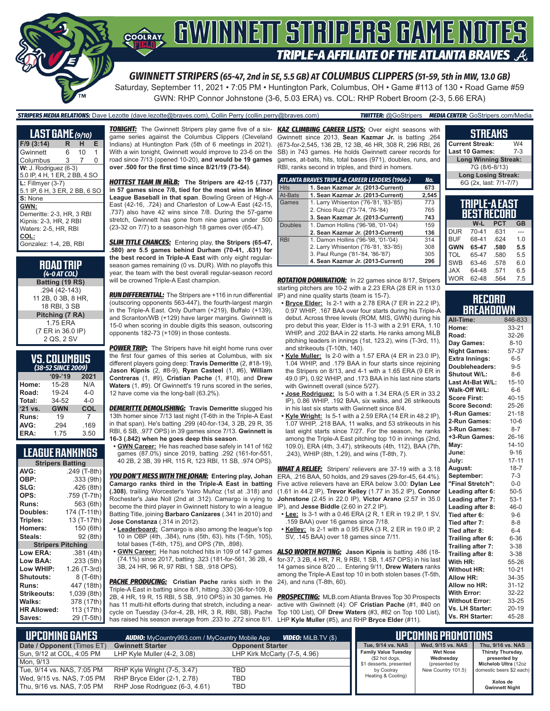

*GWINNETT STRIPERS (65-47, 2nd in SE, 5.5 GB) AT COLUMBUS CLIPPERS (51-59, 5th in MW, 13.0 GB)* Saturday, September 11, 2021 • 7:05 PM • Huntington Park, Columbus, OH • Game #113 of 130 • Road Game #59

GWN: RHP Connor Johnstone (3-6, 5.03 ERA) vs. COL: RHP Robert Broom (2-3, 5.66 ERA)

#### *STRIPERS MEDIA RELATIONS:* Dave Lezotte (dave.lezotte@braves.com), Collin Perry (collin.perry@braves.com) *TWITTER:* @GoStripers *MEDIA CENTER:* GoStripers.com/Media

| <b>LAST GAME</b> (9/10)       |    |    |    |
|-------------------------------|----|----|----|
| $F/9$ (3:14)                  | R  | н  | E. |
| Gwinnett                      | 6. | 10 | 1  |
| Columbus                      | 3  | 7  | 0  |
| W: J. Rodriguez (6-3)         |    |    |    |
| 5.0 IP, 4 H, 1 ER, 2 BB, 4 SO |    |    |    |
| $L:$ Fillmyer (3-7)           |    |    |    |
| 5.1 IP, 6 H, 3 ER, 2 BB, 6 SO |    |    |    |
| S: None                       |    |    |    |
| GWN:                          |    |    |    |
| Demeritte: 2-3, HR, 3 RBI     |    |    |    |
| Kipnis: 2-3, HR, 2 RBI        |    |    |    |
| Waters: 2-5. HR. RBI          |    |    |    |
| COL:                          |    |    |    |
| Gonzalez: 1-4, 2B, RBI        |    |    |    |
|                               |    |    |    |

#### **ROAD TRIP** *(4-0 AT COL)*

**Batting (19 RS)** .294 (42-143) 11 2B, 0 3B, 8 HR, 18 RBI, 3 SB **Pitching (7 RA)** 1.75 ERA (7 ER in 36.0 IP) 2 QS, 2 SV

### **VS. COLUMBUS**

|         | (38-52 SINCE 2 <u>009)</u> |         |
|---------|----------------------------|---------|
|         | $09 - 19$                  | 2021    |
| Home:   | 15-28                      | N/A     |
| Road:   | 19-24                      | $4 - 0$ |
| Total:  | 34-52                      | $4 - 0$ |
| '21 vs. | <b>GWN</b>                 | COL     |
| Runs:   | 19                         | 7       |
| AVG:    | .294                       | .169    |
| ERA:    | 1.75                       | 3.50    |

### **LEAGUE RANKINGS**

| <b>Stripers Batting</b> |                 |
|-------------------------|-----------------|
| AVG:                    | .249 (T-8th)    |
| OBP:                    | .333 (9th)      |
| SLG:                    | .426 (8th)      |
| OPS:                    | .759 (T-7th)    |
| <b>Runs:</b>            | 563 (6th)       |
| Doubles:                | 174 (T-11th)    |
| Triples:                | 13 (T-17th)     |
| <b>Homers:</b>          | 150 (6th)       |
| Steals:                 | 92 (8th)        |
| <b>Stripers</b>         | <b>Pitching</b> |
| <b>Low ERA:</b>         | .381 (4th)      |
| Low BAA:                | .233 (5th)      |
| Low WHIP:               | 1.26 (T-3rd)    |
| <b>Shutouts:</b>        | 8 (T-6th)       |
| Runs:                   | 447 (18th)      |
| <b>Strikeouts:</b>      | 1,039 (8th)     |
| Walks:                  | 378 (17th)      |
| <b>HR Allowed:</b>      | 113 (17th)      |
| Saves:                  | 29 (T-5th)      |

game series against the Columbus Clippers (Cleveland Indians) at Huntington Park (5th of 6 meetings in 2021). With a win tonight, Gwinnett would improve to 23-6 on the road since 7/13 (opened 10-20), **and would be 19 games over .500 for the first time since 8/21/19 (73-54)**.

*HOTTEST TEAM IN MiLB:* **The Stripers are 42-15 (.737) in 57 games since 7/8, tied for the most wins in Minor League Baseball in that span**. Bowling Green of High-A East (42-16, .724) and Charleston of Low-A East (42-15, .737) also have 42 wins since 7/8. During the 57-game stretch, Gwinnett has gone from nine games under .500 (23-32 on 7/7) to a season-high 18 games over (65-47).

*SLIM TITLE CHANCES:* Entering play, **the Stripers (65-47, .580) are 5.5 games behind Durham (70-41, .631) for the best record in Triple-A East** with only eight regularseason games remaining (0 vs. DUR). With no playoffs this year, the team with the best overall regular-season record will be crowned Triple-A East champion.

*RUN DIFFERENTIAL:* The Stripers are +116 in run differential (outscoring opponents 563-447), the fourth-largest margin in the Triple-A East. Only Durham (+219), Buffalo (+139), and Scranton/WB (+129) have larger margins. Gwinnett is 15-0 when scoring in double digits this season, outscoring opponents 182-73 (+109) in those contests.

**POWER TRIP:** The Stripers have hit eight home runs over the first four games of this series at Columbus, with six different players going deep: **Travis Demeritte** (2, #18-19), **Jason Kipnis** (2, #8-9), **Ryan Casteel** (1, #6), **William Contreras** (1, #9), **Cristian Pache** (1, #10), and **Drew Waters** (1, #9). Of Gwinnett's 19 runs scored in the series, 12 have come via the long-ball (63.2%).

*DEMERITTE DEMOLISHING:* **Travis Demeritte** slugged his 13th homer since 7/13 last night (T-6th in the Triple-A East in that span). He's batting .299 (40-for-134, 3 2B, 29 R, 35 RBI, 6 SB, .977 OPS) in 39 games since 7/13. **Gwinnett is 16-3 (.842) when he goes deep this season**.

**• GWN Career:** He has reached base safely in 141 of 162 games (87.0%) since 2019, batting .292 (161-for-551, 40 2B, 2 3B, 39 HR, 115 R, 123 RBI, 11 SB, .974 OPS).

*YOU DON'T MESS WITH THE JOHAN:* **Entering play, Johan Camargo ranks third in the Triple-A East in batting (.308)**, trailing Worcester's Yairo Muñoz (1st at .318) and Rochester's Jake Noll (2nd at .312). Camargo is vying to become the third player in Gwinnett history to win a league Batting Title, joining **Barbaro Canizares** (.341 in 2010) and **Jose Constanza** (.314 in 2012).

- **• Leaderboard:** Camargo is also among the league's top 10 in OBP (4th, .384), runs (5th, 63), hits (T-5th, 105), total bases (T-6th, 175), and OPS (7th, .898).
- (74.1%) since 2017, batting .323 (181-for-561, 36 2B, 4 3B, 24 HR, 96 R, 97 RBI, 1 SB, .918 OPS).

**PACHE PRODUCING:** Cristian Pache ranks sixth in the Triple-A East in batting since 8/1, hitting .330 (36-for-109, 8 2B, 4 HR, 19 R, 15 RBI, 5 SB, .910 OPS) in 30 games. He has 11 multi-hit efforts during that stretch, including a nearcycle on Tuesday (3-for-4, 2B, HR, 3 R, RBI, SB). Pache has raised his season average from .233 to .272 since 8/1. LHP **Kyle Muller** (#5), and RHP **Bryce Elder** (#11).

*TONIGHT:* The Gwinnett Stripers play game five of a six-*KAZ CLIMBING CAREER LISTS:* Over eight seasons with Gwinnett since 2013, **Sean Kazmar Jr.** is batting .264 (673-for-2,545, 136 2B, 12 3B, 46 HR, 308 R, 296 RBI, 26 SB) in 743 games. He holds Gwinnett career records for games, at-bats, hits, total bases (971), doubles, runs, and RBI, ranks second in triples, and third in homers.

|                | ATLANTA BRAVES TRIPLE-A CAREER LEADERS (1966-) | No.   |
|----------------|------------------------------------------------|-------|
| <b>Hits</b>    | 1. Sean Kazmar Jr. (2013-Current)              | 673   |
| At-Bats        | 1. Sean Kazmar Jr. (2013-Current)              | 2,545 |
| Games          | 1. Larry Whisenton ('76-'81, '83-'85)          | 773   |
|                | 2. Chico Ruiz ('73-'74, '76-'84)               | 765   |
|                | 3. Sean Kazmar Jr. (2013-Current)              | 743   |
| <b>Doubles</b> | 1. Damon Hollins ('96-'98, '01-'04)            | 159   |
|                | 2. Sean Kazmar Jr. (2013-Current)              | 136   |
| <b>RBI</b>     | 1. Damon Hollins ('96-'98, '01-'04)            | 314   |
|                | 2. Larry Whisenton ('76-'81, '83-'85)          | 308   |
|                | 3. Paul Runge ('81-'84, '86-'87)               | 305   |
|                | 4. Sean Kazmar Jr. (2013-Current)              | 296   |

*ROTATION DOMINATION:* In 22 games since 8/17, Stripers starting pitchers are 10-2 with a 2.23 ERA (28 ER in 113.0 IP) and nine quality starts (team is 15-7).

- **• Bryce Elder:** Is 2-1 with a 2.78 ERA (7 ER in 22.2 IP), 0.97 WHIP, .167 BAA over four starts during his Triple-A debut. Across three levels (ROM, MIS, GWN) during his pro debut this year, Elder is 11-3 with a 2.91 ERA, 1.10 WHIP, and .202 BAA in 22 starts. He ranks among MiLB pitching leaders in innings (1st, 123.2), wins (T-3rd, 11), and strikeouts (T-10th, 140).
- **• Kyle Muller:** Is 2-0 with a 1.57 ERA (4 ER in 23.0 IP), 1.04 WHIP, and .179 BAA in four starts since rejoining the Stripers on 8/13, and 4-1 with a 1.65 ERA (9 ER in 49.0 IP), 0.92 WHIP, and .173 BAA in his last nine starts with Gwinnett overall (since 5/27).
- **• Jose Rodriguez:** Is 5-0 with a 1.34 ERA (5 ER in 33.2 IP), 0.86 WHIP, .192 BAA, six walks, and 26 strikeouts in his last six starts with Gwinnett since 8/4.
- **• Kyle Wright:** Is 5-1 with a 2.59 ERA (14 ER in 48.2 IP), 1.07 WHIP, .218 BAA, 11 walks, and 53 strikeouts in his last eight starts since 7/27. For the season, he ranks among the Triple-A East pitching top 10 in innings (2nd, 109.0), ERA (4th, 3.47), strikeouts (4th, 112), BAA (7th, .243), WHIP (8th, 1.29), and wins (T-8th, 7).

*WHAT A RELIEF:* Stripers' relievers are 37-19 with a 3.18 ERA, .216 BAA, 50 holds, and 29 saves (29-for-45, 64.4%). Five active relievers have an ERA below 3.00: **Dylan Lee** (1.61 in 44.2 IP), **Trevor Kelley** (1.77 in 35.2 IP), **Connor Johnstone** (2.45 in 22.0 IP), **Victor Arano** (2.57 in 35.0 IP), and **Jesse Biddle** (2.60 in 27.2 IP).

- **• Lee:** Is 3-1 with a 0.46 ERA (2 R, 1 ER in 19.2 IP, 1 SV, .159 BAA) over 16 games since 7/18.
- **• Kelley:** Is 2-1 with a 0.95 ERA (3 R, 2 ER in 19.0 IP, 2 SV, .145 BAA) over 18 games since 7/11.

**• GWN Career:** He has notched hits in 109 of 147 games *ALSO WORTH NOTING:* **Jason Kipnis** is batting .486 (18 for-37, 3 2B, 4 HR, 7 R, 9 RBI, 1 SB, 1.457 OPS) in his last 14 games since 8/20 ... Entering 9/11, **Drew Waters** ranks among the Triple-A East top 10 in both stolen bases (T-5th, 24), and runs (T-8th, 60).

> *PROSPECTING:* MLB.com Atlanta Braves Top 30 Prospects active with Gwinnett (4): OF **Cristian Pache** (#1, #40 on Top 100 List), OF **Drew Waters** (#3, #82 on Top 100 List),

| <b>Current Streak:</b><br>W4 |                             |            |           |  |
|------------------------------|-----------------------------|------------|-----------|--|
| Last 10 Games:               |                             |            | $7 - 3$   |  |
|                              | <b>Long Winning Streak:</b> |            |           |  |
|                              | 7G (8/6-8/13)               |            |           |  |
|                              | <b>Long Losing Streak:</b>  |            |           |  |
|                              | 6G (2x, last: 7/1-7/7)      |            |           |  |
|                              |                             |            |           |  |
|                              |                             |            |           |  |
|                              |                             |            |           |  |
|                              | TRIPLE-A EAST               |            |           |  |
|                              | <b>BEST RECORD</b>          |            |           |  |
|                              | W-L                         | <b>PCT</b> | <b>GB</b> |  |
| <b>DUR</b>                   | 70-41                       | .631       |           |  |
| <b>BUF</b>                   | 68-41                       | .624       | 1.0       |  |
| <b>GWN</b>                   | 65-47                       | .580       | 5.5       |  |
| <b>TOL</b>                   | 65-47                       | .580       | 5.5       |  |
| <b>SWB</b>                   | 63-46                       | .578       | 6.0       |  |

**STREAKS**

| Record    |
|-----------|
| BREAKDOWN |

64-48 WOR 62-48 .564 7.5

| All-Time:             | 846-833   |
|-----------------------|-----------|
| Home:                 | 33-21     |
| Road:                 | 32-26     |
| Day Games:            | $8 - 10$  |
| <b>Night Games:</b>   | 57-37     |
| <b>Extra Innings:</b> | $6 - 5$   |
| Doubleheaders:        | $9 - 5$   |
| Shutout W/L:          | $8 - 6$   |
| Last At-Bat W/L:      | $15 - 10$ |
| Walk-Off W/L:         | $6-6$     |
| <b>Score First:</b>   | $40 - 15$ |
| <b>Score Second:</b>  | 25-26     |
| 1-Run Games:          | $21 - 18$ |
| 2-Run Games:          | $10 - 6$  |
| 3-Run Games:          | $8 - 7$   |
| +3-Run Games:         | $26 - 16$ |
| Mav:                  | $14 - 10$ |
| June:                 | $9 - 16$  |
| July:                 | $17 - 11$ |
| August:               | $18 - 7$  |
| September:            | $7-3$     |
| "Final Stretch":      | $0-0$     |
| Leading after 6:      | $50 - 5$  |
| Leading after 7:      | $53-1$    |
| Leading after 8:      | $46 - 0$  |
| Tied after 6:         | $9 - 6$   |
| Tied after 7:         | $8 - 8$   |
| Tied after 8:         | $6 - 4$   |
| Trailing after 6:     | 6-36      |
| Trailing after 7:     | $3 - 38$  |
| Trailing after 8:     | $3 - 38$  |
| With HR:              | 55-26     |
| <b>Without HR:</b>    | $10 - 21$ |
| <b>Allow HR:</b>      | 34-35     |
| Allow no HR:          | $31 - 12$ |
| <b>With Error:</b>    | 32-22     |
| <b>Without Error:</b> | 33-25     |
| Vs. LH Starter:       | $20 - 19$ |
| Vs. RH Starter:       | 45-28     |

| I UPCOMING GAMES I<br><b>VIDEO:</b> Milb.TV (\$)<br><b>AUDIO:</b> MyCountry993.com / MyCountry Mobile App |                                |                              |                                               | UPCOMING PROMOTIONS          |                                   |
|-----------------------------------------------------------------------------------------------------------|--------------------------------|------------------------------|-----------------------------------------------|------------------------------|-----------------------------------|
| Date / Opponent (Times ET)                                                                                | <b>Gwinnett Starter</b>        | <b>Opponent Starter</b>      | Tue, 9/14 vs. NAS                             | Wed. 9/15 vs. NAS            | Thu, 9/16 vs. NAS                 |
| Sun, 9/12 at COL, 4:05 PM                                                                                 | LHP Kyle Muller $(4-2, 3.08)$  | LHP Kirk McCarty (7-5, 4.96) | <b>Family Value Tuesday</b><br>(\$2 hot dogs, | <b>Wet Nose</b><br>Wednesday | Thirsty Thursday,<br>presented by |
| Mon. 9/13                                                                                                 |                                |                              | \$1 desserts, presented                       | (presented by                | Michelob Ultra (12oz              |
| Tue, 9/14 vs. NAS, 7:05 PM                                                                                | RHP Kyle Wright (7-5, 3.47)    | TBD                          | by Coolray                                    | New Country 101.5)           | domestic beers \$2 each)          |
| Wed, 9/15 vs. NAS, 7:05 PM                                                                                | RHP Bryce Elder (2-1, 2.78)    | TBD                          | Heating & Cooling)                            |                              | Xolos de                          |
| Thu, 9/16 vs. NAS, 7:05 PM                                                                                | RHP Jose Rodriguez (6-3, 4.61) | TBD                          |                                               |                              | <b>Gwinnett Night</b>             |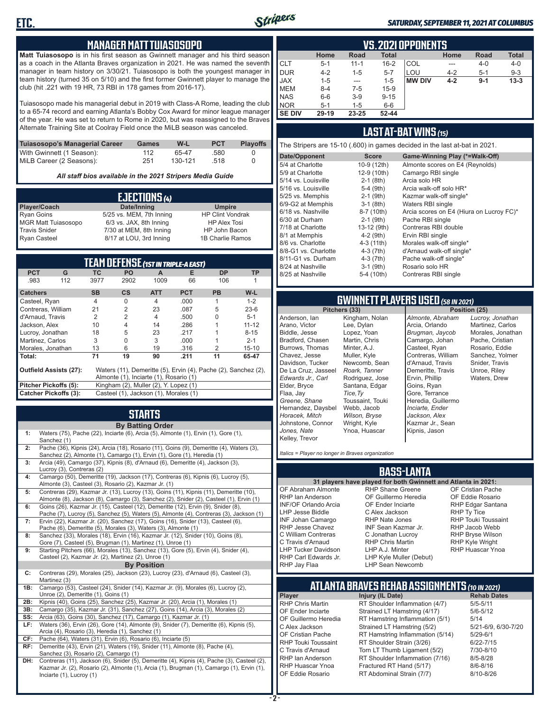

#### *SATURDAY, SEPTEMBER 11, 2021 AT COLUMBUS*

#### **MANAGER MATT TUIASOSOPO**

**Matt Tuiasosopo** is in his first season as Gwinnett manager and his third season as a coach in the Atlanta Braves organization in 2021. He was named the seventh manager in team history on 3/30/21. Tuiasosopo is both the youngest manager in team history (turned 35 on 5/10) and the first former Gwinnett player to manage the club (hit .221 with 19 HR, 73 RBI in 178 games from 2016-17).

Tuiasosopo made his managerial debut in 2019 with Class-A Rome, leading the club to a 65-74 record and earning Atlanta's Bobby Cox Award for minor league manager of the year. He was set to return to Rome in 2020, but was reassigned to the Braves Alternate Training Site at Coolray Field once the MiLB season was canceled.

| Tuiasosopo's Managerial Career | Games | W-L     | <b>PCT</b> | <b>Plavoffs</b> |
|--------------------------------|-------|---------|------------|-----------------|
| With Gwinnett (1 Season):      | 112   | 65-47   | .580       |                 |
| MiLB Career (2 Seasons):       | 251   | 130-121 | .518       |                 |

*All staff bios available in the 2021 Stripers Media Guide*

|                            | EJECTIONS (4)            |                         |
|----------------------------|--------------------------|-------------------------|
| Player/Coach               | Date/Inning              | <b>Umpire</b>           |
| <b>Ryan Goins</b>          | 5/25 vs. MEM, 7th Inning | <b>HP Clint Vondrak</b> |
| <b>MGR Matt Tuiasosopo</b> | 6/3 vs. JAX, 8th Inning  | <b>HP Alex Tosi</b>     |
| <b>Travis Snider</b>       | 7/30 at MEM, 8th Inning  | HP John Bacon           |
| <b>Ryan Casteel</b>        | 8/17 at LOU, 3rd Inning  | 1B Charlie Ramos        |

|                              |     |                | <b>TEAM DEFENSE (1ST IN TRIPLE-A EAST)</b> |                |            |                                                                |           |
|------------------------------|-----|----------------|--------------------------------------------|----------------|------------|----------------------------------------------------------------|-----------|
| <b>PCT</b>                   | G   | ТC             | PO                                         | A              | Е          | <b>DP</b>                                                      | <b>TP</b> |
| .983                         | 112 | 3977           | 2902                                       | 1009           | 66         | 106                                                            |           |
| <b>Catchers</b>              |     | <b>SB</b>      | $\mathsf{cs}$                              | <b>ATT</b>     | <b>PCT</b> | <b>PB</b>                                                      | W-L       |
| Casteel, Ryan                |     | $\overline{4}$ | $\Omega$                                   | $\overline{4}$ | .000       | 1                                                              | $1 - 2$   |
| Contreras, William           |     | 21             | $\overline{2}$                             | 23             | .087       | 5                                                              | $23-6$    |
| d'Arnaud, Travis             |     | 2              | $\overline{2}$                             | 4              | .500       | 0                                                              | $5 - 1$   |
| Jackson, Alex                |     | 10             | 4                                          | 14             | .286       |                                                                | $11 - 12$ |
| Lucroy, Jonathan             |     | 18             | 5                                          | 23             | .217       |                                                                | $8 - 15$  |
| Martinez, Carlos             |     | 3              | 0                                          | 3              | .000       |                                                                | $2 - 1$   |
| Morales, Jonathan            |     | 13             | 6                                          | 19             | .316       | 2                                                              | $15 - 10$ |
| Total:                       |     | 71             | 19                                         | 90             | .211       | 11                                                             | 65-47     |
| Outfield Assists (27):       |     |                |                                            |                |            | Waters (11), Demeritte (5), Ervin (4), Pache (2), Sanchez (2), |           |
|                              |     |                | Almonte (1), Inciarte (1), Rosario (1)     |                |            |                                                                |           |
| Pitcher Pickoffs (5):        |     |                | Kingham (2), Muller (2), Y. Lopez (1)      |                |            |                                                                |           |
| <b>Catcher Pickoffs (3):</b> |     |                | Casteel (1), Jackson (1), Morales (1)      |                |            |                                                                |           |

# **STARTS**

|     | <b>By Batting Order</b>                                                                                                                                                                  |
|-----|------------------------------------------------------------------------------------------------------------------------------------------------------------------------------------------|
| 1:  | Waters (75), Pache (22), Inciarte (6), Arcia (5), Almonte (1), Ervin (1), Gore (1),<br>Sanchez (1)                                                                                       |
| 2:  | Pache (36), Kipnis (24), Arcia (18), Rosario (11), Goins (9), Demeritte (4), Waters (3),<br>Sanchez (2), Almonte (1), Camargo (1), Ervin (1), Gore (1), Heredia (1)                      |
| 3:  | Arcia (49), Camargo (37), Kipnis (8), d'Arnaud (6), Demeritte (4), Jackson (3),<br>Lucroy (3), Contreras (2)                                                                             |
| 4:  | Camargo (50), Demeritte (19), Jackson (17), Contreras (6), Kipnis (6), Lucroy (5),<br>Almonte (3), Casteel (3), Rosario (2), Kazmar Jr. (1)                                              |
| 5:  | Contreras (29), Kazmar Jr. (13), Lucroy (13), Goins (11), Kipnis (11), Demeritte (10),<br>Almonte (8), Jackson (8), Camargo (3), Sanchez (2), Snider (2), Casteel (1), Ervin (1)         |
| 6:  | Goins (26), Kazmar Jr. (15), Casteel (12), Demeritte (12), Ervin (9), Snider (8),<br>Pache (7), Lucroy (5), Sanchez (5), Waters (5), Almonte (4), Contreras (3), Jackson (1)             |
| 7:  | Ervin (22), Kazmar Jr. (20), Sanchez (17), Goins (16), Snider (13), Casteel (6),<br>Pache (6), Demeritte (5), Morales (3), Waters (3), Almonte (1)                                       |
| 8:  | Sanchez (33), Morales (18), Ervin (16), Kazmar Jr. (12), Snider (10), Goins (8),<br>Gore (7), Casteel (5), Brugman (1), Martinez (1), Unroe (1)                                          |
| 9:  | Starting Pitchers (66), Morales (13), Sanchez (13), Gore (5), Ervin (4), Snider (4),<br>Casteel (2), Kazmar Jr. (2), Martinez (2), Unroe (1)                                             |
|     | <b>By Position</b>                                                                                                                                                                       |
| c:  | Contreras (29), Morales (25), Jackson (23), Lucroy (23), d'Arnaud (6), Casteel (3),<br>Martinez (3)                                                                                      |
| 1B: | Camargo (53), Casteel (24), Snider (14), Kazmar Jr. (9), Morales (6), Lucroy (2),<br>Unroe (2), Demeritte (1), Goins (1)                                                                 |
| 2B: | Kipnis (40), Goins (25), Sanchez (25), Kazmar Jr. (20), Arcia (1), Morales (1)                                                                                                           |
| 3B: | Camargo (35), Kazmar Jr. (31), Sanchez (27), Goins (14), Arcia (3), Morales (2)                                                                                                          |
| SS: | Arcia (63), Goins (30), Sanchez (17), Camargo (1), Kazmar Jr. (1)                                                                                                                        |
| LF: | Waters (36), Ervin (26), Gore (14), Almonte (9), Snider (7), Demeritte (6), Kipnis (5),<br>Arcia (4), Rosario (3), Heredia (1), Sanchez (1)                                              |
| CF: | Pache (64), Waters (31), Ervin (6), Rosario (6), Inciarte (5)                                                                                                                            |
| RF: | Demeritte (43), Ervin (21), Waters (19), Snider (11), Almonte (8), Pache (4),<br>Sanchez (3), Rosario (2), Camargo (1)                                                                   |
| DH: | Contreras (11), Jackson (6), Snider (5), Demeritte (4), Kipnis (4), Pache (3), Casteel (2),<br>Kazmar Jr. (2), Rosario (2), Almonte (1), Arcia (1), Brugman (1), Camargo (1), Ervin (1), |

Inciarte (1), Lucroy (1)

|               | <b>VS.2021 OPPONENTS</b>                                            |          |          |               |         |         |          |  |  |  |  |  |  |  |
|---------------|---------------------------------------------------------------------|----------|----------|---------------|---------|---------|----------|--|--|--|--|--|--|--|
|               | <b>Total</b><br>Home<br><b>Total</b><br>Road<br><b>Road</b><br>Home |          |          |               |         |         |          |  |  |  |  |  |  |  |
| <b>CLT</b>    | $5 - 1$                                                             | $11 - 1$ | $16 - 2$ | COL           | ---     | $4 - 0$ | $4 - 0$  |  |  |  |  |  |  |  |
| <b>DUR</b>    | $4 - 2$                                                             | $1 - 5$  | $5 - 7$  | LOU           | $4 - 2$ | $5-1$   | $9 - 3$  |  |  |  |  |  |  |  |
| <b>JAX</b>    | $1 - 5$                                                             | ---      | $1 - 5$  | <b>MW DIV</b> | $4 - 2$ | $9 - 1$ | $13 - 3$ |  |  |  |  |  |  |  |
| <b>MEM</b>    | $8 - 4$                                                             | $7 - 5$  | $15-9$   |               |         |         |          |  |  |  |  |  |  |  |
| <b>NAS</b>    | $6-6$                                                               | $3-9$    | $9 - 15$ |               |         |         |          |  |  |  |  |  |  |  |
| <b>NOR</b>    | $5 - 1$                                                             | $1 - 5$  | $6-6$    |               |         |         |          |  |  |  |  |  |  |  |
| <b>SE DIV</b> | 29-19                                                               | 23-25    | 52-44    |               |         |         |          |  |  |  |  |  |  |  |

#### **LAST AT-BAT WINS** *(15)*

The Stripers are 15-10 (.600) in games decided in the last at-bat in 2021.

| Date/Opponent        | <b>Score</b> | Game-Winning Play (*=Walk-Off)           |
|----------------------|--------------|------------------------------------------|
| 5/4 at Charlotte     | 10-9 (12th)  | Almonte scores on E4 (Reynolds)          |
| 5/9 at Charlotte     | 12-9 (10th)  | Camargo RBI single                       |
| 5/14 vs. Louisville  | $2-1$ (8th)  | Arcia solo HR                            |
| 5/16 vs. Louisville  | 5-4 (9th)    | Arcia walk-off solo HR*                  |
| 5/25 vs. Memphis     | $2-1$ (9th)  | Kazmar walk-off single*                  |
| 6/9-G2 at Memphis    | $3-1$ (8th)  | Waters RBI single                        |
| 6/18 vs. Nashville   | 8-7 (10th)   | Arcia scores on E4 (Hiura on Lucroy FC)* |
| 6/30 at Durham       | $2-1$ (9th)  | Pache RBI single                         |
| 7/18 at Charlotte    | 13-12 (9th)  | Contreras RBI double                     |
| 8/1 at Memphis       | $4-2$ (9th)  | Ervin RBI single                         |
| 8/6 vs. Charlotte    | 4-3 (11th)   | Morales walk-off single*                 |
| 8/8-G1 vs. Charlotte | $4-3(7th)$   | d'Arnaud walk-off single*                |
| 8/11-G1 vs. Durham   | $4-3$ (7th)  | Pache walk-off single*                   |
| 8/24 at Nashville    | $3-1$ (9th)  | Rosario solo HR                          |
| 8/25 at Nashville    | 5-4 (10th)   | Contreras RBI single                     |
|                      |              |                                          |

# **GWINNETT PLAYERS USED** *(58 IN 2021)*

**Pitchers (33)** Anderson, Ian Arano, Victor Biddle, Jesse Bradford, Chasen Burrows, Thomas Chavez, Jesse Davidson, Tucker De La Cruz, Jasseel *Edwards Jr., Carl* Elder, Bryce Flaa, Jay *Greene, Shane*  Hernandez, Daysbel *Horacek, Mitch* Johnstone, Connor *Jones, Nate* Kelley, Trevor Lee, Dylan Lopez, Yoan Martin, Chris Minter, A.J. Muller, Kyle *Roark, Tanner Tice,Ty* Webb, Jacob *Wilson, Bryse* Wright, Kyle Ynoa, Huascar

Kingham, Nolan Newcomb, Sean Rodriguez, Jose Santana, Edgar Toussaint, Touki *Almonte, Abraham* Arcia, Orlando *Brugman, Jaycob* Camargo, Johan Casteel, Ryan Contreras, William d'Arnaud, Travis Demeritte, Travis Ervin, Phillip Goins, Ryan Gore, Terrance Heredia, Guillermo *Inciarte, Ender Jackson, Alex* Kazmar Jr., Sean Kipnis, Jason

*Lucroy, Jonathan* Martinez, Carlos Morales, Jonathan Pache, Cristian Rosario, Eddie Sanchez, Yolmer Snider, Travis Unroe, Riley Waters, Drew

*Italics = Player no longer in Braves organization*

#### **BASS-LANTA**

#### OF Abraham Almonte RHP Ian Anderson INF/OF Orlando Arcia LHP Jesse Biddle INF Johan Camargo RHP Jesse Chavez C William Contreras C Travis d'Arnaud LHP Tucker Davidson C Alex Jackson

**31 players have played for both Gwinnett and Atlanta in 2021:** RHP Shane Greene OF Guillermo Heredia OF Ender Inciarte RHP Nate Jones INF Sean Kazmar Jr. C Jonathan Lucroy RHP Chris Martin LHP A.J. Minter LHP Kyle Muller (Debut) LHP Sean Newcomb

OF Cristian Pache OF Eddie Rosario RHP Edgar Santana RHP Ty Tice RHP Touki Toussaint RHP Jacob Webb RHP Bryse Wilson RHP Kyle Wright RHP Huascar Ynoa

# **ATLANTA BRAVES REHAB ASSIGNMENTS** *(10 IN 2021)*

**Player Injury (IL Date)** 

RHP Carl Edwards Jr. RHP Jay Flaa

RHP Chris Martin RT Shoulder Inflammation (4/7) 5/5-5/11 OF Ender Inciarte Strained LT Hamstring (4/17) 5/6-5<br>OF Guillermo Heredia RT Hamstring Inflammation (5/1) 5/14 RT Hamstring Inflammation (5/1) C Alex Jackson Strained LT Hamstring (5/2) 5/21-6/9, 6/30-7/20 OF Cristian Pache RT Hamstring Inflammation (5/14) 5/29-6/1<br>RHP Touki Toussaint RT Shoulder Strain (3/26) 6/22-7/15 RHP Touki Toussaint RT Shoulder Strain (3/26) 6/22-7/15<br>C Travis d'Arnaud Torn LT Thumb Ligament (5/2) 7/30-8/10 Torn LT Thumb Ligament (5/2) RHP Ian Anderson RT Shoulder Inflammation (7/16) 8/5-8/28<br>RHP Huascar Ynoa Fractured RT Hand (5/17) 8/6-8/16 RHP Huascar Ynoa Fractured RT Hand (5/17) 8/6-8/16 RT Abdominal Strain (7/7)

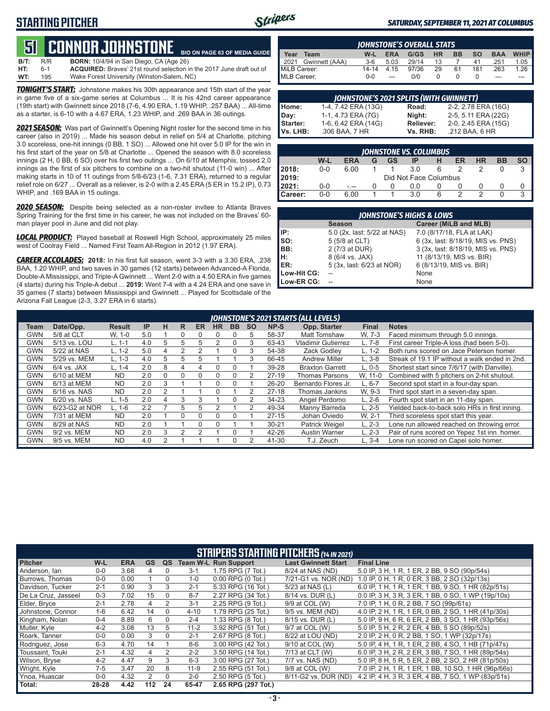

#### *SATURDAY, SEPTEMBER 11, 2021 AT COLUMBUS*

#### **51****CONNOR JOHNSTONE BIO ON PAGE 63 OF MEDIA GUIDE**

| <b>B/T:</b> | R/R | <b>BORN:</b> 10/4/94 in San Diego, CA (Age 26)                              |
|-------------|-----|-----------------------------------------------------------------------------|
| HT:         | 6-1 | <b>ACQUIRED:</b> Brayes' 21st round selection in the 2017 June draft out of |
| WT:         | 195 | Wake Forest University (Winston-Salem, NC)                                  |

*TONIGHT'S START:* Johnstone makes his 30th appearance and 15th start of the year in game five of a six-game series at Columbus ... It is his 42nd career appearance (19th start) with Gwinnett since 2018 (7-6, 4.90 ERA, 1.19 WHIP, .257 BAA) ... All-time as a starter, is 6-10 with a 4.67 ERA, 1.23 WHIP, and .269 BAA in 36 outings.

2021 SEASON: Was part of Gwinnett's Opening Night roster for the second time in his career (also in 2019) ... Made his season debut in relief on 5/4 at Charlotte, pitching 3.0 scoreless, one-hit innings (0 BB, 1 SO) ... Allowed one hit over 5.0 IP for the win in his first start of the year on 5/8 at Charlotte ... Opened the season with 8.0 scoreless innings (2 H, 0 BB, 6 SO) over his first two outings ... On 6/10 at Memphis, tossed 2.0 innings as the first of six pitchers to combine on a two-hit shutout (11-0 win) ... After making starts in 10 of 11 outings from 5/8-6/23 (1-6, 7.31 ERA), returned to a regular relief role on 6/27 ... Overall as a reliever, is 2-0 with a 2.45 ERA (5 ER in 15.2 IP), 0.73 WHIP, and .169 BAA in 15 outings.

*2020 SEASON:* Despite being selected as a non-roster invitee to Atlanta Braves Spring Training for the first time in his career, he was not included on the Braves' 60 man player pool in June and did not play.

*LOCAL PRODUCT:* Played baseball at Roswell High School, approximately 25 miles west of Coolray Field ... Named First Team All-Region in 2012 (1.97 ERA).

*CAREER ACCOLADES:* **2018:** In his first full season, went 3-3 with a 3.30 ERA, .238 BAA, 1.20 WHIP, and two saves in 30 games (12 starts) between Advanced-A Florida, Double-A Mississippi, and Triple-A Gwinnett ... Went 2-0 with a 4.50 ERA in five games (4 starts) during his Triple-A debut ... **2019:** Went 7-4 with a 4.24 ERA and one save in 35 games (7 starts) between Mississippi and Gwinnett ... Played for Scottsdale of the Arizona Fall League (2-3, 3.27 ERA in 6 starts).

|              | <b>IOHNSTONE'S OVERALL STATS</b> |           |            |       |           |           |           |            |             |  |  |  |  |
|--------------|----------------------------------|-----------|------------|-------|-----------|-----------|-----------|------------|-------------|--|--|--|--|
| Year         | Team                             | W-L       | <b>ERA</b> | G/GS  | <b>HR</b> | <b>BB</b> | <b>SO</b> | <b>BAA</b> | <b>WHIP</b> |  |  |  |  |
|              | 2021 Gwinnett (AAA)              | $3-6$     | 5.03       | 29/14 | 13        |           | 41        | .251       | 1.05        |  |  |  |  |
| MiLB Career: |                                  | $14 - 14$ | 4.15       | 97/36 | 29        | 61        | 181       | .263       | 1.26        |  |  |  |  |
| MLB Career:  |                                  | ი-ი       | ---        | 0/0   |           |           |           | ---        |             |  |  |  |  |

| <b>JOHNSTONE'S 2021 SPLITS (WITH GWINNETT)</b> |                     |              |                     |  |  |  |  |  |  |  |
|------------------------------------------------|---------------------|--------------|---------------------|--|--|--|--|--|--|--|
| Home:                                          | 1-4, 7.42 ERA (13G) | <b>Road:</b> | 2-2, 2.78 ERA (16G) |  |  |  |  |  |  |  |
| Day:                                           | 1-1, 4.73 ERA (7G)  | Niaht:       | 2-5, 5.11 ERA (22G) |  |  |  |  |  |  |  |
| Starter:                                       | 1-6, 6.42 ERA (14G) | Reliever:    | 2-0, 2.45 ERA (15G) |  |  |  |  |  |  |  |
| Vs. LHB:                                       | .306 BAA, 7 HR      | Vs. RHB:     | .212 BAA, 6 HR      |  |  |  |  |  |  |  |

|                  | <b>JOHNSTONE VS. COLUMBUS</b>                        |      |  |  |                       |  |  |  |  |  |  |  |  |  |
|------------------|------------------------------------------------------|------|--|--|-----------------------|--|--|--|--|--|--|--|--|--|
|                  | W-L<br>ΗR<br>GS<br>ER<br><b>ERA</b><br>BB<br>IP<br>G |      |  |  |                       |  |  |  |  |  |  |  |  |  |
| 2018:            | $0 - 0$                                              | 6.00 |  |  | 3.0                   |  |  |  |  |  |  |  |  |  |
| 2019:            |                                                      |      |  |  | Did Not Face Columbus |  |  |  |  |  |  |  |  |  |
| 2021:            | $0 - 0$                                              |      |  |  | 00                    |  |  |  |  |  |  |  |  |  |
| <b>I</b> Career: | 0-0                                                  | 6.00 |  |  | 3.0                   |  |  |  |  |  |  |  |  |  |

| <b>JOHNSTONE'S HIGHS &amp; LOWS</b> |                             |                                    |  |  |  |  |  |  |  |
|-------------------------------------|-----------------------------|------------------------------------|--|--|--|--|--|--|--|
|                                     | <b>Season</b>               | Career (MiLB and MLB)              |  |  |  |  |  |  |  |
| IP:                                 | 5.0 (2x, last: 5/22 at NAS) | 7.0 (8/17/18, FLA at LAK)          |  |  |  |  |  |  |  |
| so:                                 | 5 (5/8 at CLT)              | 6 (3x, last: 8/18/19, MIS vs. PNS) |  |  |  |  |  |  |  |
| BB:                                 | 2 (7/3 at DUR)              | 3 (3x, last: 8/18/19, MIS vs. PNS) |  |  |  |  |  |  |  |
| Iн:                                 | 8 (6/4 vs. JAX)             | 11 (8/13/19, MIS vs. BIR)          |  |  |  |  |  |  |  |
| IER:                                | 5 (3x, last: 6/23 at NOR)   | 6 (8/13/19, MIS vs. BIR)           |  |  |  |  |  |  |  |
| Low-Hit CG:                         |                             | None                               |  |  |  |  |  |  |  |
| Low-ER CG:                          |                             | None                               |  |  |  |  |  |  |  |

|            | JOHNSTONE'S 2021 STARTS (ALL LEVELS) |               |     |   |               |           |           |           |           |           |                           |           |                                                |
|------------|--------------------------------------|---------------|-----|---|---------------|-----------|-----------|-----------|-----------|-----------|---------------------------|-----------|------------------------------------------------|
| Team       | Date/Opp.                            | <b>Result</b> | IP  | н | R             | <b>ER</b> | <b>HR</b> | <b>BB</b> | <b>SO</b> | NP-S      | Opp. Starter              | Final     | <b>Notes</b>                                   |
| GWN        | 5/8 at CLT                           | W. 1-0        | 5.0 |   | 0             |           | $\Omega$  |           | 5         | 58-37     | Matt Tomshaw              | W. 7-3    | Faced minimum through 5.0 innings.             |
| GWN        | 5/13 vs. LOU                         | L. 1-1        | 4.0 | 5 | 5             | 5         | 2         |           | 3         | 63-43     | <b>Vladimir Gutierrez</b> | $.7-8$    | First career Triple-A loss (had been 5-0).     |
| GWN        | 5/22 at NAS                          | $L. 1-2$      | 5.0 | 4 | $\mathcal{P}$ | 2         |           |           | 3         | 54-38     | Zack Godlev               | $-.1 - 2$ | Both runs scored on Jace Peterson homer.       |
| GWN        | 5/29 vs. MEM                         | $L. 1-3$      | 4.0 | 5 | 5             | 5         |           |           | 3         | 66-45     | <b>Andrew Miller</b>      | $L.3-8$   | Streak of 19.1 IP without a walk ended in 2nd. |
| GWN        | $6/4$ vs. JAX                        | L. 1-4        | 2.0 | 8 | 4             |           | 0         |           |           | 39-28     | <b>Braxton Garrett</b>    | $L.0 - 5$ | Shortest start since 7/6/17 (with Danville).   |
| GWN        | 6/10 at MEM                          | <b>ND</b>     | 2.0 | 0 | 0             | $\Omega$  | 0         |           |           | $27-19$   | <b>Thomas Parsons</b>     | W. 11-0   | Combined with 5 pitchers on 2-hit shutout.     |
| GWN        | 6/13 at MEM                          | <b>ND</b>     | 2.0 | 3 |               |           | 0         |           |           | $26 - 20$ | Bernardo Flores Jr.       | -. 6-7    | Second spot start in a four-day span.          |
| GWN        | 6/16 vs. NAS                         | <b>ND</b>     | 2.0 | っ |               |           |           |           | 2         | $27-18$   | Thomas Jankins            | W. 9-3    | Third spot start in a seven-day span.          |
| <b>GWN</b> | 6/20 vs. NAS                         | $L. 1-5$      | 2.0 | 4 | 3             | 3         |           |           |           | 34-23     | Angel Perdomo             | $L. 2-6$  | Fourth spot start in an 11-day span.           |
| GWN        | 6/23-G2 at NOR                       | L. 1-6        | 2.2 |   | 5             | 5         |           |           | 2         | 49-34     | Manny Barreda             | L. 2-5    | Yielded back-to-back solo HRs in first inning. |
| GWN        | 7/31 at MEM                          | <b>ND</b>     | 2.0 |   | $\Omega$      | $\Omega$  | 0         |           |           | $27-15$   | Johan Oviedo              | W. 2-1    | Third scoreless spot start this year.          |
| GWN        | 8/29 at NAS                          | <b>ND</b>     | 2.0 |   |               |           |           |           |           | $30 - 21$ | Patrick Weigel            | $L. 2-3$  | Lone run allowed reached on throwing error.    |
| GWN        | 9/2 vs. MEM                          | <b>ND</b>     | 2.0 | 3 |               |           |           |           |           | 42-26     | <b>Austin Warner</b>      | $L. 2-3$  | Pair of runs scored on Yepez 1st inn. homer.   |
| <b>GWN</b> | 9/5 vs. MEM                          | <b>ND</b>     | 4.0 |   |               |           |           |           |           | 41-30     | T.J. Zeuch                | L. 3-4    | Lone run scored on Capel solo homer.           |

|                     | <b>STRIPERS STARTING PITCHERS (14 IN 2021)</b> |            |           |          |          |                             |                            |                                                     |  |  |  |  |  |
|---------------------|------------------------------------------------|------------|-----------|----------|----------|-----------------------------|----------------------------|-----------------------------------------------------|--|--|--|--|--|
| <b>Pitcher</b>      | W-L                                            | <b>ERA</b> | <b>GS</b> | QS       |          | <b>Team W-L Run Support</b> | <b>Last Gwinnett Start</b> | <b>Final Line</b>                                   |  |  |  |  |  |
| Anderson, Ian       | $0 - 0$                                        | 3.68       | 4         |          | $3-1$    | 1.75 RPG (7 Tot.)           | 8/24 at NAS (ND)           | 5.0 IP, 3 H, 1 R, 1 ER, 2 BB, 9 SO (90p/54s)        |  |  |  |  |  |
| Burrows, Thomas     | $0 - 0$                                        | 0.00       |           |          | $1 - 0$  | $0.00$ RPG $(0$ Tot.)       | 7/21-G1 vs. NOR (ND)       | 1.0 IP, 0 H, 1 R, 0 ER, 3 BB, 2 SO (32p/13s)        |  |  |  |  |  |
| Davidson, Tucker    | $2 - 1$                                        | 0.90       | 3         | 3        | $2 - 1$  | 5.33 RPG (16 Tot.)          | 5/23 at NAS (L)            | 6.0 IP, 1 H, 1 R, 1 ER, 1 BB, 9 SO, 1 HR (82p/51s)  |  |  |  |  |  |
| De La Cruz, Jasseel | $0 - 3$                                        | 7.02       | 15        |          | $8 - 7$  | 2.27 RPG (34 Tot.)          | 8/14 vs. DUR (L)           | 0.0 IP, 3 H, 3 R, 3 ER, 1 BB, 0 SO, 1 WP (19p/10s)  |  |  |  |  |  |
| Elder, Brvce        | $2 - 1$                                        | 2.78       | 4         |          | $3 - 1$  | 2.25 RPG (9 Tot.)           | 9/9 at COL (W)             | 7.0 IP, 1 H, 0 R, 2 BB, 7 SO (99p/61s)              |  |  |  |  |  |
| Johnstone, Connor   | $1 - 6$                                        | 6.42       | 14        | $\Omega$ | $4 - 10$ | 1.79 RPG (25 Tot.)          | 9/5 vs. MEM (ND)           | 4.0 IP, 2 H, 1 R, 1 ER, 0 BB, 2 SO, 1 HR (41p/30s)  |  |  |  |  |  |
| Kingham, Nolan      | $0 - 4$                                        | 8.89       | 6         | $\Omega$ | $2 - 4$  | 1.33 RPG (8 Tot.)           | 8/15 vs. DUR (L)           | 5.0 IP, 9 H, 6 R, 6 ER, 2 BB, 3 SO, 1 HR (93p/56s)  |  |  |  |  |  |
| Muller, Kyle        | $4 - 2$                                        | 3.08       | 13        | 5.       | $11 - 2$ | 3.92 RPG (51 Tot.)          | 9/7 at COL (W)             | 5.0 IP, 5 H, 2 R, 2 ER, 4 BB, 5 SO (89p/52s)        |  |  |  |  |  |
| Roark, Tanner       | $0-0$                                          | 0.00       | 3         | $\Omega$ | $2 - 1$  | 2.67 RPG (8 Tot.)           | 8/22 at LOU (ND)           | 2.0 IP, 2 H, 0 R, 2 BB, 1 SO, 1 WP (32p/17s)        |  |  |  |  |  |
| Rodriguez, Jose     | $6 - 3$                                        | 4.70       | 14        |          | $8-6$    | 3.00 RPG (42 Tot.)          | 9/10 at COL (W)            | 5.0 IP, 4 H, 1 R, 1 ER, 2 BB, 4 SO, 1 HB (71p/47s)  |  |  |  |  |  |
| Toussaint. Touki    | $2 - 1$                                        | 4.32       | 4         | 2        | $2 - 2$  | 3.50 RPG (14 Tot.)          | 7/13 at CLT (W)            | 6.0 IP, 3 H, 2 R, 2 ER, 3 BB, 7 SO, 1 HR (89p/54s)  |  |  |  |  |  |
| Wilson, Bryse       | $4 - 2$                                        | 4.47       | 9         | 3        | $6 - 3$  | 3.00 RPG (27 Tot.)          | 7/7 vs. NAS (ND)           | 5.0 IP, 8 H, 5 R, 5 ER, 2 BB, 2 SO, 2 HR (81p/50s)  |  |  |  |  |  |
| Wright, Kyle        | $7-5$                                          | 3.47       | 20        | 8        | $11 - 9$ | 2.55 RPG (51 Tot.)          | 9/8 at COL (W)             | 7.0 IP, 2 H, 1 R, 1 ER, 1 BB, 10 SO, 1 HR (96p/66s) |  |  |  |  |  |
| Ynoa, Huascar       | $0 - 0$                                        | 4.32       |           | $\Omega$ | $2 - 0$  | 2.50 RPG (5 Tot.)           | 8/11-G2 vs. DUR (ND)       | 4.2 IP, 4 H, 3 R, 3 ER, 4 BB, 7 SO, 1 WP (83p/51s)  |  |  |  |  |  |
| Total:              | 28-28                                          | 4.42       | 112       | 24       | 65-47    | 2.65 RPG (297 Tot.)         |                            |                                                     |  |  |  |  |  |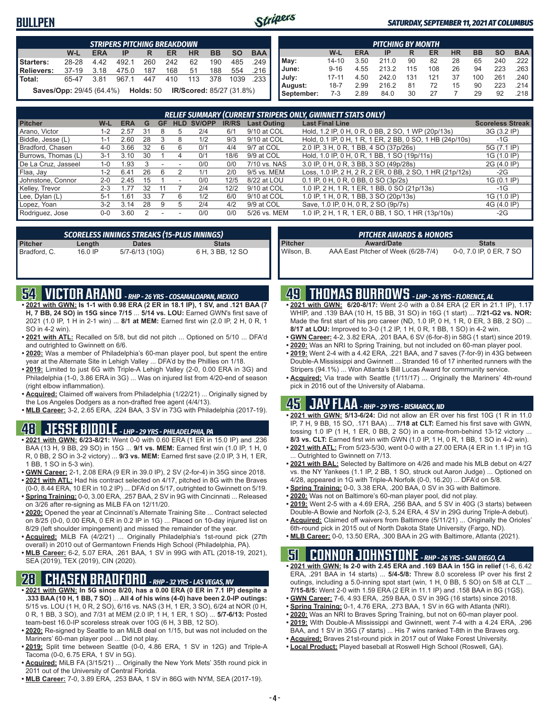### **BULLPEN**



#### *SATURDAY, SEPTEMBER 11, 2021 AT COLUMBUS*

| <b>STRIPERS PITCHING BREAKDOWN</b>                                               |                                                                              |      |       |     |     |     |     |      |     |  |  |  |
|----------------------------------------------------------------------------------|------------------------------------------------------------------------------|------|-------|-----|-----|-----|-----|------|-----|--|--|--|
| <b>BB</b><br><b>SO</b><br><b>BAA</b><br>W-L<br>HR<br><b>ERA</b><br>ER<br>ΙP<br>R |                                                                              |      |       |     |     |     |     |      |     |  |  |  |
| Starters:                                                                        | 28-28                                                                        | 442  | 492.1 | 260 | 242 | 62  | 190 | 485  | 249 |  |  |  |
| Relievers:                                                                       | $37-19$                                                                      | 3.18 | 475.0 | 187 | 168 | 51  | 188 | 554  |     |  |  |  |
| l Total:                                                                         | 65-47                                                                        | 381  | 967.1 | 447 | 410 | 113 | 378 | 1039 |     |  |  |  |
|                                                                                  | <b>Saves/Opp: 29/45 (64.4%) Holds: 50</b><br><b>IR/Scored: 85/27 (31.8%)</b> |      |       |     |     |     |     |      |     |  |  |  |

|            | <b>PITCHING BY MONTH</b>                                                                |      |       |     |     |    |     |     |      |  |  |  |  |  |
|------------|-----------------------------------------------------------------------------------------|------|-------|-----|-----|----|-----|-----|------|--|--|--|--|--|
|            | <b>BAA</b><br><b>HR</b><br><b>SO</b><br><b>ERA</b><br><b>BB</b><br>W-L<br>ER<br>IP<br>R |      |       |     |     |    |     |     |      |  |  |  |  |  |
| May:       | 14-10                                                                                   | 3.50 | 211.0 | 90  | 82  | 28 | 65  | 240 | .222 |  |  |  |  |  |
| June:      | $9 - 16$                                                                                | 4.55 | 213.2 | 115 | 108 | 26 | 94  | 223 | .263 |  |  |  |  |  |
| July:      | $17 - 11$                                                                               | 4.50 | 242.0 | 131 | 121 | 37 | 100 | 261 | .240 |  |  |  |  |  |
| August:    | 18-7                                                                                    | 2.99 | 216.2 | 81  | 72  | 15 | 90  | 223 | .214 |  |  |  |  |  |
| September: | 7-3                                                                                     | 2.89 | 84.0  | 30  | 27  |    | 29  | 92  | .218 |  |  |  |  |  |

|                     | <b>RELIEF SUMMARY (CURRENT STRIPERS ONLY, GWINNETT STATS ONLY)</b> |            |    |    |      |        |              |                    |                                                          |                         |  |  |  |
|---------------------|--------------------------------------------------------------------|------------|----|----|------|--------|--------------|--------------------|----------------------------------------------------------|-------------------------|--|--|--|
| <b>Pitcher</b>      | W-L                                                                | <b>ERA</b> | G  | GF | HLD. | SV/OPP | <b>IR/RS</b> | <b>Last Outing</b> | <b>Last Final Line</b>                                   | <b>Scoreless Streak</b> |  |  |  |
| Arano, Victor       | 1-2                                                                | 2.57       | 31 |    |      | 2/4    | 6/1          | 9/10 at COL        | Hold, 1.2 IP, 0 H, 0 R, 0 BB, 2 SO, 1 WP (20p/13s)       | 3G (3.2 IP)             |  |  |  |
| Biddle, Jesse (L)   | 1-1                                                                | 2.60       | 28 | 3  |      | 1/2    | 9/3          | 9/10 at COL        | Hold, 0.1 IP, 0 H, 1 R, 1 ER, 2 BB, 0 SO, 1 HB (24p/10s) | -1G                     |  |  |  |
| Bradford, Chasen    | $4 - 0$                                                            | 3.66       | 32 |    |      | 0/1    | 4/4          | 9/7 at COL         | 2.0 IP, 3 H, 0 R, 1 BB, 4 SO (37p/26s)                   | 5G (7.1 IP)             |  |  |  |
| Burrows, Thomas (L) | $3 - 1$                                                            | 3.10       | 30 |    |      | 0/1    | 18/6         | 9/9 at COL         | Hold, 1.0 IP, 0 H, 0 R, 1 BB, 1 SO (19p/11s)             | 1G (1.0 IP)             |  |  |  |
| De La Cruz, Jasseel | $1 - 0$                                                            | .93        |    |    |      | 0/0    | 0/0          | 7/10 vs. NAS       | 3.0 IP, 0 H, 0 R, 3 BB, 3 SO (49p/28s)                   | 2G (4.0 IP)             |  |  |  |
| Flaa, Jay           | 1-2                                                                | 6.41       | 26 |    |      | 1/1    | 2/0          | 9/5 vs. MEM        | Loss, 1.0 IP, 2 H, 2 R, 2 ER, 0 BB, 2 SO, 1 HR (21p/12s) | $-2G$                   |  |  |  |
| Johnstone, Connor   | $2 - 0$                                                            | 2.45       | 15 |    |      | 0/0    | 12/5         | 8/22 at LOU        | $0.1$ IP, 0 H, 0 R, 0 BB, 0 SO (3p/2s)                   | 1G (0.1 IP)             |  |  |  |
| Kelley, Trevor      | $2 - 3$                                                            | .77        | 32 |    |      | 2/4    | 12/2         | 9/10 at COL        | 1.0 IP, 2 H, 1 R, 1 ER, 1 BB, 0 SO (21p/13s)             | $-1G$                   |  |  |  |
| Lee, Dylan (L)      | $5-1$                                                              | .61        | 33 |    | ൳    | 1/2    | 6/0          | 9/10 at COL        | 1.0 IP, 1 H, 0 R, 1 BB, 3 SO (20p/13s)                   | 1G (1.0 IP)             |  |  |  |
| Lopez, Yoan         | $3-2$                                                              | 3.14       | 28 |    |      | 2/4    | 4/2          | 9/9 at COL         | Save, 1.0 IP, 0 H, 0 R, 2 SO (9p/7s)                     | 4G (4.0 IP)             |  |  |  |
| Rodriguez, Jose     | 0-0                                                                | 3.60       |    |    |      | 0/0    | 0/0          | 5/26 vs. MEM       | 1.0 IP, 2 H, 1 R, 1 ER, 0 BB, 1 SO, 1 HR (13p/10s)       | $-2G$                   |  |  |  |

| SCORELESS INNINGS STREAKS (15-PLUS INNINGS) |         |                |                  |  |  |  |  |  |  |  |  |
|---------------------------------------------|---------|----------------|------------------|--|--|--|--|--|--|--|--|
| <b>Pitcher</b>                              | Length  | <b>Dates</b>   | <b>Stats</b>     |  |  |  |  |  |  |  |  |
| Bradford, C.                                | 16.0 IP | 5/7-6/13 (10G) | 6 H, 3 BB, 12 SO |  |  |  |  |  |  |  |  |

| ' PITCHER AWARDS & HONORS |                                     |                         |  |  |  |  |  |  |  |  |
|---------------------------|-------------------------------------|-------------------------|--|--|--|--|--|--|--|--|
| <b>Pitcher</b>            | <b>Award/Date</b>                   | <b>Stats</b>            |  |  |  |  |  |  |  |  |
| Wilson, B.                | AAA East Pitcher of Week (6/28-7/4) | 0-0, 7.0 IP, 0 ER, 7 SO |  |  |  |  |  |  |  |  |

### **54 VICTOR ARANO** *- RHP - 26 YRS - COSAMALOAPAN, MEXICO*

- **• 2021 with GWN: Is 1-1 with 0.98 ERA (2 ER in 18.1 IP), 1 SV, and .121 BAA (7 H, 7 BB, 24 SO) in 15G since 7/15** ... **5/14 vs. LOU:** Earned GWN's first save of 2021 (1.0 IP, 1 H in 2-1 win) ... **8/1 at MEM:** Earned first win (2.0 IP, 2 H, 0 R, 1 SO in 4-2 win).
- **• 2021 with ATL:** Recalled on 5/8, but did not pitch ... Optioned on 5/10 ... DFA'd and outrighted to Gwinnett on 6/6.
- **• 2020:** Was a member of Philadelphia's 60-man player pool, but spent the entire year at the Alternate Site in Lehigh Valley ... DFA'd by the Phillies on 1/18.
- **• 2019:** Limited to just 6G with Triple-A Lehigh Valley (2-0, 0.00 ERA in 3G) and Philadelphia (1-0, 3.86 ERA in 3G) ... Was on injured list from 4/20-end of season (right elbow inflammation).
- **• Acquired:** Claimed off waivers from Philadelphia (1/22/21) ... Originally signed by the Los Angeles Dodgers as a non-drafted free agent (4/4/13).
- **• MLB Career:** 3-2, 2.65 ERA, .224 BAA, 3 SV in 73G with Philadelphia (2017-19).

### **48 JESSE BIDDLE** *- LHP - 29 YRS - PHILADELPHIA, PA*

- **• 2021 with GWN: 6/23-8/21:** Went 0-0 with 0.60 ERA (1 ER in 15.0 IP) and .236 BAA (13 H, 9 BB, 29 SO) in 15G ... **9/1 vs. MEM:** Earned first win (1.0 IP, 1 H, 0 R, 0 BB, 2 SO in 3-2 victory) ... **9/3 vs. MEM:** Earned first save (2.0 IP, 3 H, 1 ER, 1 BB, 1 SO in 5-3 win).
- **• GWN Career:** 2-1, 2.08 ERA (9 ER in 39.0 IP), 2 SV (2-for-4) in 35G since 2018. **• 2021 with ATL:** Had his contract selected on 4/17, pitched in 8G with the Braves
- (0-0, 8.44 ERA, 10 ER in 10.2 IP) ... DFA'd on 5/17, outrighted to Gwinnett on 5/19. **• Spring Training:** 0-0, 3.00 ERA, .257 BAA, 2 SV in 9G with Cincinnati ... Released on 3/26 after re-signing as MiLB FA on 12/11/20.
- **• 2020:** Opened the year at Cincinnati's Alternate Training Site ... Contract selected on 8/25 (0-0, 0.00 ERA, 0 ER in 0.2 IP in 1G) ... Placed on 10-day injured list on 8/29 (left shoulder impingement) and missed the remainder of the year.
- **• Acquired:** MiLB FA (4/2/21) ... Originally Philadelphia's 1st-round pick (27th overall) in 2010 out of Germantown Friends High School (Philadelphia, PA).
- **• MLB Career:** 6-2, 5.07 ERA, .261 BAA, 1 SV in 99G with ATL (2018-19, 2021), SEA (2019), TEX (2019), CIN (2020).

### **28 CHASEN BRADFORD** *- RHP - 32 YRS - LAS VEGAS, NV*

- **• 2021 with GWN: In 5G since 8/20, has a 0.00 ERA (0 ER in 7.1 IP) despite a .333 BAA (10 H, 1 BB, 7 SO)** ... **All 4 of his wins (4-0) have been 2.0-IP outings:** 5/15 vs. LOU (1 H, 0 R, 2 SO), 6/16 vs. NAS (3 H, 1 ER, 3 SO), 6/24 at NOR (0 H, 0 R, 1 BB, 3 SO), and 7/31 at MEM (2.0 IP, 1 H, 1 ER, 1 SO) ... **5/7-6/13:** Posted team-best 16.0-IP scoreless streak over 10G (6 H, 3 BB, 12 SO).
- **• 2020:** Re-signed by Seattle to an MiLB deal on 1/15, but was not included on the Mariners' 60-man player pool ... Did not play.
- **• 2019:** Split time between Seattle (0-0, 4.86 ERA, 1 SV in 12G) and Triple-A Tacoma (0-0, 6.75 ERA, 1 SV in 5G).
- **• Acquired:** MiLB FA (3/15/21) ... Originally the New York Mets' 35th round pick in 2011 out of the University of Central Florida.
- **• MLB Career:** 7-0, 3.89 ERA, .253 BAA, 1 SV in 86G with NYM, SEA (2017-19).

### **49 THOMAS BURROWS** *- LHP - 26 YRS - FLORENCE, AL*

- **• 2021 with GWN: 6/20-8/17:** Went 2-0 with a 0.84 ERA (2 ER in 21.1 IP), 1.17 WHIP, and .139 BAA (10 H, 15 BB, 31 SO) in 16G (1 start) ... **7/21-G2 vs. NOR:** Made the first start of his pro career (ND, 1.0 IP, 0 H, 1 R, 0 ER, 3 BB, 2 SO) ... **8/17 at LOU:** Improved to 3-0 (1.2 IP, 1 H, 0 R, 1 BB, 1 SO) in 4-2 win.
- **• GWN Career:** 4-2, 3.82 ERA, .201 BAA, 6 SV (6-for-8) in 58G (1 start) since 2019.
- **• 2020:** Was an NRI to Spring Training, but not included on 60-man player pool.
- **• 2019:** Went 2-4 with a 4.42 ERA, .221 BAA, and 7 saves (7-for-9) in 43G between Double-A Mississippi and Gwinnett ... Stranded 16 of 17 inherited runners with the Stripers (94.1%) ... Won Atlanta's Bill Lucas Award for community service.
- **• Acquired:** Via trade with Seattle (1/11/17) ... Originally the Mariners' 4th-round pick in 2016 out of the University of Alabama.

# **45 JAY FLAA** *- RHP - 29 YRS - BISMARCK, ND*

- **• 2021 with GWN: 5/13-6/24:** Did not allow an ER over his first 10G (1 R in 11.0 IP, 7 H, 9 BB, 15 SO, .171 BAA) ... **7/18 at CLT:** Earned his first save with GWN, tossing 1.0 IP (1 H, 1 ER, 0 BB, 2 SO) in a come-from-behind 13-12 victory ... **8/3 vs. CLT:** Earned first win with GWN (1.0 IP, 1 H, 0 R, 1 BB, 1 SO in 4-2 win).
- **• 2021 with ATL:** From 5/23-5/30, went 0-0 with a 27.00 ERA (4 ER in 1.1 IP) in 1G ... Outrighted to Gwinnett on 7/13.
- **• 2021 with BAL:** Selected by Baltimore on 4/26 and made his MLB debut on 4/27 vs. the NY Yankees (1.1 IP, 2 BB, 1 SO, struck out Aaron Judge) ... Optioned on 4/28, appeared in 1G with Triple-A Norfolk (0-0, 16.20) ... DFA'd on 5/8.
- **• Spring Training:** 0-0, 3.38 ERA, .200 BAA, 0 SV in 3G with Baltimore.
- **• 2020:** Was not on Baltimore's 60-man player pool, did not play.
- **• 2019:** Went 2-5 with a 4.69 ERA, .256 BAA, and 5 SV in 40G (3 starts) between Double-A Bowie and Norfolk (2-3, 5.24 ERA, 4 SV in 29G during Triple-A debut).
- **• Acquired:** Claimed off waivers from Baltimore (5/11/21) ... Originally the Orioles' 6th-round pick in 2015 out of North Dakota State University (Fargo, ND).
- **• MLB Career:** 0-0, 13.50 ERA, .300 BAA in 2G with Baltimore, Atlanta (2021).

### **51 CONNOR JOHNSTONE** *- RHP - 26 YRS - SAN DIEGO, CA*

- **• 2021 with GWN: Is 2-0 with 2.45 ERA and .169 BAA in 15G in relief** (1-6, 6.42 ERA, .291 BAA in 14 starts) ... **5/4-5/8:** Threw 8.0 scoreless IP over his first 2 outings, including a 5.0-inning spot start (win, 1 H, 0 BB, 5 SO) on 5/8 at CLT ... **7/15-8/5:** Went 2-0 with 1.59 ERA (2 ER in 11.1 IP) and .158 BAA in 8G (1GS).
- **• GWN Career:** 7-6, 4.93 ERA, .259 BAA, 0 SV in 39G (16 starts) since 2018.
- **• Spring Training:** 0-1, 4.76 ERA, .273 BAA, 1 SV in 6G with Atlanta (NRI).
- **• 2020:** Was an NRI to Braves Spring Training, but not on 60-man player pool.
- **• 2019:** With Double-A Mississippi and Gwinnett, went 7-4 with a 4.24 ERA, .296
	- BAA, and 1 SV in 35G (7 starts) ... His 7 wins ranked T-8th in the Braves org.
- **• Acquired:** Braves 21st-round pick in 2017 out of Wake Forest University.
- **• Local Product:** Played baseball at Roswell High School (Roswell, GA).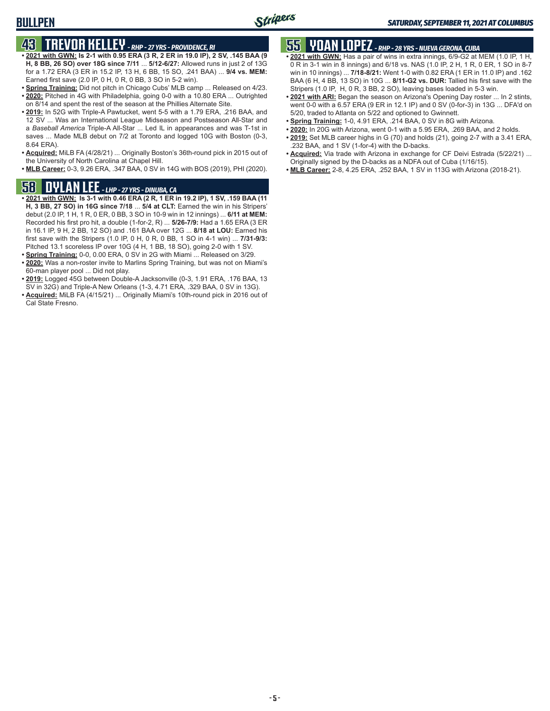### **BULLPEN**

# **43 TREVOR KELLEY** *- RHP - 27 YRS - PROVIDENCE, RI*

- **• 2021 with GWN: Is 2-1 with 0.95 ERA (3 R, 2 ER in 19.0 IP), 2 SV, .145 BAA (9 H, 8 BB, 26 SO) over 18G since 7/11** ... **5/12-6/27:** Allowed runs in just 2 of 13G for a 1.72 ERA (3 ER in 15.2 IP, 13 H, 6 BB, 15 SO, .241 BAA) ... **9/4 vs. MEM:** Earned first save (2.0 IP, 0 H, 0 R, 0 BB, 3 SO in 5-2 win).
- **• Spring Training:** Did not pitch in Chicago Cubs' MLB camp ... Released on 4/23. **• 2020:** Pitched in 4G with Philadelphia, going 0-0 with a 10.80 ERA ... Outrighted on 8/14 and spent the rest of the season at the Phillies Alternate Site.
- **• 2019:** In 52G with Triple-A Pawtucket, went 5-5 with a 1.79 ERA, .216 BAA, and 12 SV ... Was an International League Midseason and Postseason All-Star and a *Baseball America* Triple-A All-Star ... Led IL in appearances and was T-1st in saves ... Made MLB debut on 7/2 at Toronto and logged 10G with Boston (0-3, 8.64 ERA).
- **• Acquired:** MiLB FA (4/28/21) ... Originally Boston's 36th-round pick in 2015 out of the University of North Carolina at Chapel Hill.
- **• MLB Career:** 0-3, 9.26 ERA, .347 BAA, 0 SV in 14G with BOS (2019), PHI (2020).

### **58 DYLAN LEE** *- LHP - 27 YRS - DINUBA, CA*

- **• 2021 with GWN: Is 3-1 with 0.46 ERA (2 R, 1 ER in 19.2 IP), 1 SV, .159 BAA (11 H, 3 BB, 27 SO) in 16G since 7/18** ... **5/4 at CLT:** Earned the win in his Stripers' debut (2.0 IP, 1 H, 1 R, 0 ER, 0 BB, 3 SO in 10-9 win in 12 innings) ... **6/11 at MEM:** Recorded his first pro hit, a double (1-for-2, R) ... **5/26-7/9:** Had a 1.65 ERA (3 ER in 16.1 IP, 9 H, 2 BB, 12 SO) and .161 BAA over 12G ... **8/18 at LOU:** Earned his first save with the Stripers (1.0 IP, 0 H, 0 R, 0 BB, 1 SO in 4-1 win) ... **7/31-9/3:** Pitched 13.1 scoreless IP over 10G (4 H, 1 BB, 18 SO), going 2-0 with 1 SV.
- **• Spring Training:** 0-0, 0.00 ERA, 0 SV in 2G with Miami ... Released on 3/29.
- **• 2020:** Was a non-roster invite to Marlins Spring Training, but was not on Miami's 60-man player pool ... Did not play.
- **• 2019:** Logged 45G between Double-A Jacksonville (0-3, 1.91 ERA, .176 BAA, 13 SV in 32G) and Triple-A New Orleans (1-3, 4.71 ERA, .329 BAA, 0 SV in 13G).
- **• Acquired:** MiLB FA (4/15/21) ... Originally Miami's 10th-round pick in 2016 out of Cal State Fresno.

# **55 YOAN LOPEZ** *- RHP - 28 YRS - NUEVA GERONA, CUBA*

- **• 2021 with GWN:** Has a pair of wins in extra innings, 6/9-G2 at MEM (1.0 IP, 1 H, 0 R in 3-1 win in 8 innings) and 6/18 vs. NAS (1.0 IP, 2 H, 1 R, 0 ER, 1 SO in 8-7 win in 10 innings) ... **7/18-8/21:** Went 1-0 with 0.82 ERA (1 ER in 11.0 IP) and .162 BAA (6 H, 4 BB, 13 SO) in 10G ... **8/11-G2 vs. DUR:** Tallied his first save with the Stripers (1.0 IP, H, 0 R, 3 BB, 2 SO), leaving bases loaded in 5-3 win.
- **• 2021 with ARI:** Began the season on Arizona's Opening Day roster ... In 2 stints, went 0-0 with a 6.57 ERA (9 ER in 12.1 IP) and 0 SV (0-for-3) in 13G ... DFA'd on 5/20, traded to Atlanta on 5/22 and optioned to Gwinnett.
- **• Spring Training:** 1-0, 4.91 ERA, .214 BAA, 0 SV in 8G with Arizona.
- **• 2020:** In 20G with Arizona, went 0-1 with a 5.95 ERA, .269 BAA, and 2 holds.
- **• 2019:** Set MLB career highs in G (70) and holds (21), going 2-7 with a 3.41 ERA, .232 BAA, and 1 SV (1-for-4) with the D-backs.
- **• Acquired:** Via trade with Arizona in exchange for CF Deivi Estrada (5/22/21) ... Originally signed by the D-backs as a NDFA out of Cuba (1/16/15).
- **• MLB Career:** 2-8, 4.25 ERA, .252 BAA, 1 SV in 113G with Arizona (2018-21).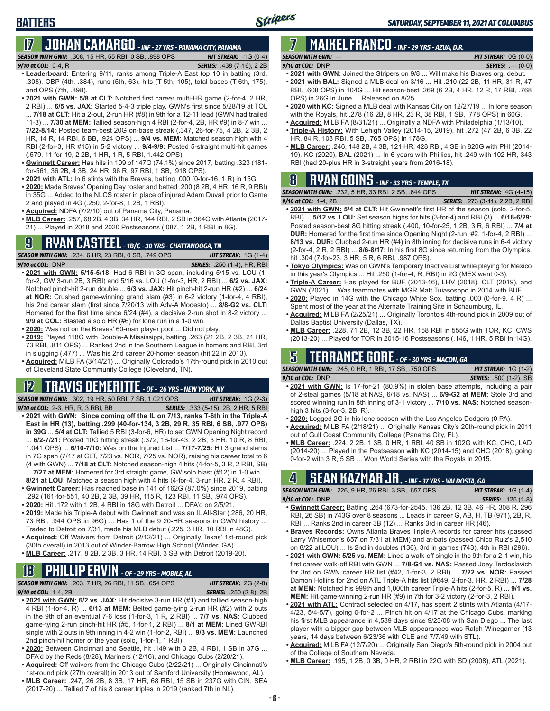# **BATTERS**

# **17 JOHAN CAMARGO** *- INF - 27 YRS - PANAMA CITY, PANAMA*

*SEASON WITH GWN:*.308, 15 HR, 55 RBI, 0 SB, .898 OPS *HIT STREAK:* -1G (0-4)

#### *9/10 at COL:* 0-4, R *SERIES:* .438 (7-16), 2 2B

- **• Leaderboard:** Entering 9/11, ranks among Triple-A East top 10 in batting (3rd, .308), OBP (4th, .384), runs (5th, 63), hits (T-5th, 105), total bases (T-6th, 175), and OPS (7th, .898).
- **• 2021 with GWN: 5/8 at CLT:** Notched first career multi-HR game (2-for-4, 2 HR, 2 RBI) ... **6/5 vs. JAX:** Started 5-4-3 triple play, GWN's first since 5/28/19 at TOL ... **7/18 at CLT:** Hit a 2-out, 2-run HR (#8) in 9th for a 12-11 lead (GWN had trailed 11-3) ... **7/30 at MEM:** Tallied season-high 4 RBI (2-for-4, 2B, HR #9) in 8-7 win ... **7/22-8/14:** Posted team-best 20G on-base streak (.347, 26-for-75, 4 2B, 2 3B, 2 HR, 14 R, 14 RBI, 6 BB, .924 OPS) ... **9/4 vs. MEM:** Matched season high with 4 RBI (2-for-3, HR #15) in 5-2 victory ... **9/4-9/9:** Posted 5-straight multi-hit games (.579, 11-for-19, 2 2B, 1 HR, 1 R, 5 RBI, 1.442 OPS).
- **• Gwinnett Career:** Has hits in 109 of 147G (74.1%) since 2017, batting .323 (181 for-561, 36 2B, 4 3B, 24 HR, 96 R, 97 RBI, 1 SB, .918 OPS).
- **• 2021 with ATL:** In 6 stints with the Braves, batting .000 (0-for-16, 1 R) in 15G.
- **• 2020:** Made Braves' Opening Day roster and batted .200 (8 2B, 4 HR, 16 R, 9 RBI) in 35G ... Added to the NLCS roster in place of injured Adam Duvall prior to Game 2 and played in 4G (.250, 2-for-8, 1 2B, 1 RBI).
- **• Acquired:** NDFA (7/2/10) out of Panama City, Panama.
- **• MLB Career:** .257, 68 2B, 4 3B, 34 HR, 144 RBI, 2 SB in 364G with Atlanta (2017- 21) ... Played in 2018 and 2020 Postseasons (.087, 1 2B, 1 RBI in 8G).

### **9 RYAN CASTEEL** *- 1B/C - 30 YRS - CHATTANOOGA, TN*

*SEASON WITH GWN:*.234, 6 HR, 23 RBI, 0 SB, .749 OPS *HIT STREAK:* 1G (1-4) *9/10 at COL:*DNP *SERIES:* .250 (1-4), HR, RBI

- **• 2021 with GWN: 5/15-5/18:** Had 6 RBI in 3G span, including 5/15 vs. LOU (1 for-2, GW 3-run 2B, 3 RBI) and 5/16 vs. LOU (1-for-3, HR, 2 RBI) ... **6/2 vs. JAX:** Notched pinch-hit 2-run double ... **6/3 vs. JAX:** Hit pinch-hit 2-run HR (#2) ... **6/24 at NOR:** Crushed game-winning grand slam (#3) in 6-2 victory (1-for-4, 4 RBI), his 2nd career slam (first since 7/20/13 with Adv-A Modesto) ... **8/8-G2 vs. CLT:** Homered for the first time since 6/24 (#4), a decisive 2-run shot in 8-2 victory ... **9/9 at COL:** Blasted a solo HR (#6) for lone run in a 1-0 win.
- **• 2020:** Was not on the Braves' 60-man player pool ... Did not play.
- **• 2019:** Played 118G with Double-A Mississippi, batting .263 (21 2B, 2 3B, 21 HR, 73 RBI, .811 OPS) ... Ranked 2nd in the Southern League in homers and RBI, 3rd in slugging (.477) ... Was his 2nd career 20-homer season (hit 22 in 2013).
- **• Acquired:** MiLB FA (3/14/21) ... Originally Colorado's 17th-round pick in 2010 out of Cleveland State Community College (Cleveland, TN).

### **12 TRAVIS DEMERITTE** *- OF - 26 YRS - NEW YORK, NY*

*SEASON WITH GWN:*.302, 19 HR, 50 RBI, 7 SB, 1.021 OPS *HIT STREAK:* 1G (2-3)

- *9/10 at COL:*2-3, HR, R, 3 RBI, BB *SERIES:* .333 (5-15), 2B, 2 HR, 5 RBI **• 2021 with GWN: Since coming off the IL on 7/13, ranks T-6th in the Triple-A East in HR (13), batting .299 (40-for-134, 3 2B, 29 R, 35 RBI, 6 SB, .977 OPS) in 39G** ... **5/4 at CLT:** Tallied 5 RBI (3-for-6, HR) to set GWN Opening Night record ... **6/2-7/21:** Posted 10G hitting streak (.372, 16-for-43, 2 2B, 3 HR, 10 R, 8 RBI, 1.041 OPS) ... **6/10-7/10:** Was on the Injured List ... **7/17-7/25:** Hit 3 grand slams in 7G span (7/17 at CLT, 7/23 vs. NOR, 7/25 vs. NOR), raising his career total to 6 (4 with GWN) ... **7/18 at CLT:** Notched season-high 4 hits (4-for-5, 3 R, 2 RBI, SB)
- ... **7/27 at MEM:** Homered for 3rd straight game, GW solo blast (#12) in 1-0 win ... **8/21 at LOU:** Matched a season high with 4 hits (4-for-4, 3-run HR, 2 R, 4 RBI).
- **• Gwinnett Career:** Has reached base in 141 of 162G (87.0%) since 2019, batting .292 (161-for-551, 40 2B, 2 3B, 39 HR, 115 R, 123 RBI, 11 SB, .974 OPS).
- **• 2020:** Hit .172 with 1 2B, 4 RBI in 18G with Detroit ... DFA'd on 2/5/21.
- **• 2019:** Made his Triple-A debut with Gwinnett and was an IL All-Star (.286, 20 HR, 73 RBI, .944 OPS in 96G) ... Has 1 of the 9 20-HR seasons in GWN history ... Traded to Detroit on 7/31, made his MLB debut (.225, 3 HR, 10 RBI in 48G).
- **• Acquired:** Off Waivers from Detroit (2/12/21) ... Originally Texas' 1st-round pick (30th overall) in 2013 out of Winder-Barrow High School (Winder, GA).
- **• MLB Career:** .217, 8 2B, 2 3B, 3 HR, 14 RBI, 3 SB with Detroit (2019-20).

# **18 PHILLIP ERVIN** *- OF - 29 YRS - MOBILE, AL*

*SEASON WITH GWN:*.203, 7 HR, 26 RBI, 11 SB, .654 OPS *HIT STREAK:* 2G (2-8)

#### *9/10 at COL:*1-4, 2B *SERIES:* .250 (2-8), 2B

- **• 2021 with GWN: 6/2 vs. JAX:** Hit decisive 3-run HR (#1) and tallied season-high 4 RBI (1-for-4, R) ... **6/13 at MEM:** Belted game-tying 2-run HR (#2) with 2 outs in the 9th of an eventual 7-6 loss (1-for-3, 1 R, 2 RBI) ... **7/7 vs. NAS:** Clubbed game-tying 2-run pinch-hit HR (#5, 1-for-1, 2 RBI) ... **8/1 at MEM:** Lined GWRBI single with 2 outs in 9th inning in 4-2 win (1-for-2, RBI) ... **9/3 vs. MEM:** Launched 2nd pinch-hit homer of the year (solo, 1-for-1, 1 RBI).
- **• 2020:** Between Cincinnati and Seattle, hit .149 with 3 2B, 4 RBI, 1 SB in 37G ... DFA'd by the Reds (8/28), Mariners (12/16), and Chicago Cubs (2/20/21).
- **• Acquired:** Off waivers from the Chicago Cubs (2/22/21) ... Originally Cincinnati's 1st-round pick (27th overall) in 2013 out of Samford University (Homewood, AL).
- **• MLB Career:** .247, 26 2B, 8 3B, 17 HR, 68 RBI, 15 SB in 237G with CIN, SEA (2017-20) ... Tallied 7 of his 8 career triples in 2019 (ranked 7th in NL).

#### **7 MAIKEL FRANCO** *- INF - 29 YRS - AZUA, D.R. SEASON WITH GWN:*--- *HIT STREAK:* 0G (0-0)

- *9/10 at COL:*DNP *SERIES:* .--- (0-0) **• 2021 with GWN:** Joined the Stripers on 9/8 ... Will make his Braves org. debut.
- **• 2021 with BAL:** Signed a MLB deal on 3/16 ... Hit .210 (22 2B, 11 HR, 31 R, 47 RBI, .608 OPS) in 104G ... Hit season-best .269 (6 2B, 4 HR, 12 R, 17 RBI, .768 OPS) in 26G in June ... Released on 8/25.
- **• 2020 with KC:** Signed a MLB deal with Kansas City on 12/27/19 ... In lone season with the Royals, hit .278 (16 2B, 8 HR, 23 R, 38 RBI, 1 SB, .778 OPS) in 60G.
- **• Acquired:** MiLB FA (8/31/21) ... Originally a NDFA with Philadelphia (1/13/10).
- **• Triple-A History:** With Lehigh Valley (2014-15, 2019), hit .272 (47 2B, 6 3B, 22 HR, 84 R, 108 RBI, 5 SB, .765 OPS) in 178G.
- **• MLB Career:** .246, 148 2B, 4 3B, 121 HR, 428 RBI, 4 SB in 820G with PHI (2014- 19), KC (2020), BAL (2021) ... In 6 years with Phillies, hit .249 with 102 HR, 343 RBI (had 20-plus HR in 3-straight years from 2016-18).

### **8 RYAN GOINS** *- INF - 33 YRS - TEMPLE, TX*

| <b>SEASON WITH GWN:</b> .232, 5 HR, 33 RBI, 2 SB, .644 OPS | <b>HIT STREAK:</b> $4G(4-15)$           |
|------------------------------------------------------------|-----------------------------------------|
| 9/10 at COL:  1-4, 2B                                      | <b>SERIES:</b> .273 (3-11), 2 2B, 2 RBI |

- **• 2021 with GWN: 5/4 at CLT:** Hit Gwinnett's first HR of the season (solo, 2-for-5, RBI) ... **5/12 vs. LOU:** Set season highs for hits (3-for-4) and RBI (3) ... **6/18-6/29:** Posted season-best 8G hitting streak (.400, 10-for-25, 1 2B, 3 R, 6 RBI) ... **7/4 at DUR:** Homered for the first time since Opening Night (2-run, #2, 1-for-4, 2 RBI) ... **8/13 vs. DUR:** Clubbed 2-run HR (#4) in 8th inning for decisive runs in 6-4 victory (2-for-4, 2 R, 2 RBI) ... **8/6-8/17:** In his first 8G since returning from the Olympics, hit .304 (7-for-23, 3 HR, 5 R, 6 RBI, .987 OPS).
- **• Tokyo Olympics:** Was on GWN's Temporary Inactive List while playing for Mexico in this year's Olympics ... Hit .250 (1-for-4, R, RBI) in 2G (MEX went 0-3).
- **• Triple-A Career:** Has played for BUF (2013-16), LHV (2018), CLT (2019), and GWN (2021) ... Was teammates with MGR Matt Tuiasosopo in 2014 with BUF.
- **• 2020:** Played in 14G with the Chicago White Sox, batting .000 (0-for-9, 4 R) ... Spent most of the year at the Alternate Training Site in Schaumburg, IL.
- **• Acquired:** MiLB FA (2/25/21) ... Originally Toronto's 4th-round pick in 2009 out of Dallas Baptist University (Dallas, TX).
- **• MLB Career:** .228, 71 2B, 12 3B, 22 HR, 158 RBI in 555G with TOR, KC, CWS (2013-20) ... Played for TOR in 2015-16 Postseasons (.146, 1 HR, 5 RBI in 14G).

### **5 TERRANCE GORE** *- OF - 30 YRS - MACON, GA*

*SEASON WITH GWN:*.245, 0 HR, 1 RBI, 17 SB, .750 OPS *HIT STREAK:* 1G (1-2) *9/10 at COL:*DNP *SERIES:* .500 (1-2), SB

- **• 2021 with GWN:** Is 17-for-21 (80.9%) in stolen base attempts, including a pair of 2-steal games (5/18 at NAS, 6/18 vs. NAS) ... **6/9-G2 at MEM:** Stole 3rd and scored winning run in 8th inning of 3-1 victory ... **7/10 vs. NAS:** Notched seasonhigh 3 hits (3-for-3, 2B, R).
- **• 2020:** Logged 2G in his lone season with the Los Angeles Dodgers (0 PA).
- **• Acquired:** MiLB FA (2/18/21) ... Originally Kansas City's 20th-round pick in 2011 out of Gulf Coast Community College (Panama City, FL).
- **• MLB Career:** .224, 2 2B, 1 3B, 0 HR, 1 RBI, 40 SB in 102G with KC, CHC, LAD (2014-20) ... Played in the Postseason with KC (2014-15) and CHC (2018), going 0-for-2 with 3 R, 5 SB ... Won World Series with the Royals in 2015.

### **4 SEAN KAZMAR JR.** *- INF - 37 YRS - VALDOSTA, GA*

| <b>SEASON WITH GWN:</b> .226, 9 HR, 26 RBI, 3 SB, .657 OPS                      |  | <b>HIT STREAK:</b> $1G(1-4)$ |                           |  |
|---------------------------------------------------------------------------------|--|------------------------------|---------------------------|--|
| $9/10$ at COL: DNP                                                              |  |                              | <b>SERIES:</b> .125 (1-8) |  |
| $\sim$ Cultural Consent Deffine 004 (079 for OE4E 490.0D 49.9D 40.11D 200.D.300 |  |                              |                           |  |

- **• Gwinnett Career:** Batting .264 (673-for-2545, 136 2B, 12 3B, 46 HR, 308 R, 296 RBI, 26 SB) in 743G over 8 seasons ... Leads in career G, AB, H, TB (971), 2B, R, RBI ... Ranks 2nd in career 3B (12) ... Ranks 3rd in career HR (46).
- **• Braves Records:** Owns Atlanta Braves Triple-A records for career hits (passed Larry Whisenton's 657 on 7/31 at MEM) and at-bats (passed Chico Ruiz's 2,510 on 8/22 at LOU) ... Is 2nd in doubles (136), 3rd in games (743), 4th in RBI (296).
- **• 2021 with GWN: 5/25 vs. MEM:** Lined a walk-off single in the 9th for a 2-1 win, his first career walk-off RBI with GWN ... **7/8-G1 vs. NAS:** Passed Joey Terdoslavich for 3rd on GWN career HR list (#42, 1-for-3, 2 RBI) ... **7/22 vs. NOR:** Passed Damon Hollins for 2nd on ATL Triple-A hits list (#649, 2-for-3, HR, 2 RBI) ... **7/28 at MEM:** Notched his 999th and 1,000th career Triple-A hits (2-for-5, R) ... **9/1 vs. MEM:** Hit game-winning 2-run HR (#9) in 7th for 3-2 victory (2-for-3, 2 RBI).
- **• 2021 with ATL:** Contract selected on 4/17, has spent 2 stints with Atlanta (4/17- 4/23, 5/4-5/7), going 0-for-2 ... Pinch hit on 4/17 at the Chicago Cubs, marking his first MLB appearance in 4,589 days since 9/23/08 with San Diego ... The last player with a bigger gap between MLB appearances was Ralph Winegarner (13 years, 14 days between 6/23/36 with CLE and 7/7/49 with STL).
- **• Acquired:** MiLB FA (12/7/20) ... Originally San Diego's 5th-round pick in 2004 out of the College of Southern Nevada.
- **• MLB Career:** .195, 1 2B, 0 3B, 0 HR, 2 RBI in 22G with SD (2008), ATL (2021).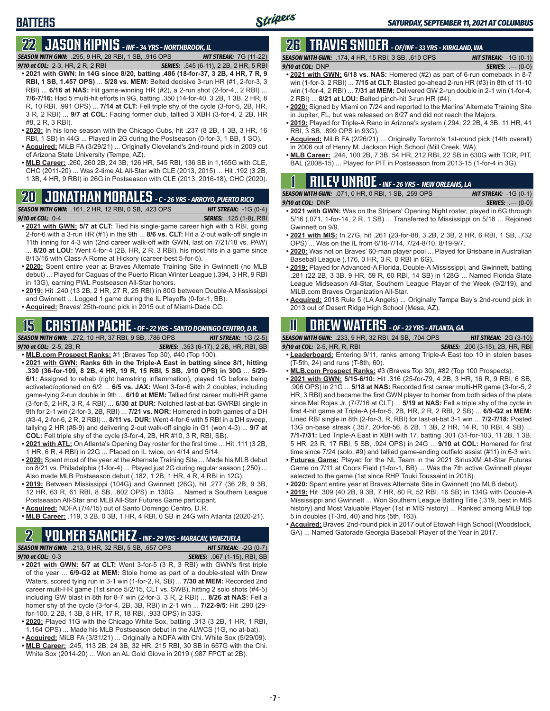# **22 JASON KIPNIS** *- INF - 34 YRS - NORTHBROOK, IL*

*SEASON WITH GWN:*.295, 9 HR, 28 RBI, 1 SB, .916 OPS *HIT STREAK:* 7G (11-22)

- *9/10 at COL:*2-3, HR, 2 R, 2 RBI *SERIES:* .545 (6-11), 2 2B, 2 HR, 5 RBI **• 2021 with GWN: In 14G since 8/20, batting .486 (18-for-37, 3 2B, 4 HR, 7 R, 9 RBI, 1 SB, 1.457 OPS)** ... **5/28 vs. MEM:** Belted decisive 3-run HR (#1, 2-for-3, 3 RBI) ... **6/16 at NAS:** Hit game-winning HR (#2), a 2-run shot (2-for-4,, 2 RBI) ... **7/6-7/16:** Had 5 multi-hit efforts in 9G, batting .350 (14-for-40, 3 2B, 1 3B, 2 HR, 8 R, 10 RBI, .991 OPS) ... **7/14 at CLT:** Fell triple shy of the cycle (3-for-5, 2B, HR, 3 R, 2 RBI) ... **9/7 at COL:** Facing former club, tallied 3 XBH (3-for-4, 2 2B, HR #8, 2 R, 3 RBI).
- **• 2020:** In his lone season with the Chicago Cubs, hit .237 (8 2B, 1 3B, 3 HR, 16 RBI, 1 SB) in 44G ... Played in 2G during the Postseason (0-for-3, 1 BB, 1 SO).
- **• Acquired:** MiLB FA (3/29/21) ... Originally Cleveland's 2nd-round pick in 2009 out of Arizona State University (Tempe, AZ).
- **• MLB Career:** .260, 260 2B, 24 3B, 126 HR, 545 RBI, 136 SB in 1,165G with CLE, CHC (2011-20) ... Was 2-time AL All-Star with CLE (2013, 2015) ... Hit .192 (3 2B, 1 3B, 4 HR, 9 RBI) in 26G in Postseason with CLE (2013, 2016-18), CHC (2020).

# **20 JONATHAN MORALES** *- C - 26 YRS - ARROYO, PUERTO RICO*

*SEASON WITH GWN:*.161, 2 HR, 12 RBI, 0 SB, .423 OPS *HIT STREAK:* -1G (0-4) *9/10 at COL:*0-4 *SERIES:* .125 (1-8), RBI

- 
- **• 2021 with GWN: 5/7 at CLT:** Tied his single-game career high with 5 RBI, going 2-for-6 with a 3-run HR (#1) in the 9th ... **8/6 vs. CLT:** Hit a 2-out walk-off single in 11th inning for 4-3 win (2nd career walk-off with GWN, last on 7/21/18 vs. PAW) 8/20 at LOU: Went 4-for-4 (2B, HR, 2 R, 3 RBI), his most hits in a game since 8/13/16 with Class-A Rome at Hickory (career-best 5-for-5).
- **• 2020:** Spent entire year at Braves Alternate Training Site in Gwinnett (no MLB debut) ... Played for Caguas of the Puerto Rican Winter League (.394, 3 HR, 9 RBI in 13G), earning PWL Postseason All-Star honors.
- **• 2019:** Hit .240 (13 2B, 2 HR, 27 R, 25 RBI) in 80G between Double-A Mississippi and Gwinnett ... Logged 1 game during the IL Playoffs (0-for-1, BB).
- **• Acquired:** Braves' 25th-round pick in 2015 out of Miami-Dade CC.

#### **15 CRISTIAN PACHE** *- OF - 22 YRS - SANTO DOMINGO CENTRO, D.R. SEASON WITH GWN:*.272, 10 HR, 37 RBI, 9 SB, .786 OPS *HIT STREAK:* 1G (2-5)

- *9/10 at COL:* 2-5, 2B, R *SERIES:* .353 (6-17), 2 2B, HR, RBI, SB **• MLB.com Prospect Ranks:** #1 (Braves Top 30), #40 (Top 100).
- **• 2021 with GWN: Ranks 6th in the Triple-A East in batting since 8/1, hitting .330 (36-for-109, 8 2B, 4 HR, 19 R, 15 RBI, 5 SB, .910 OPS) in 30G** ... **5/29- 6/1:** Assigned to rehab (right hamstring inflammation), played 1G before being activated/optioned on 6/2 ... **6/5 vs. JAX:** Went 3-for-6 with 2 doubles, including game-tying 2-run double in 9th ... **6/10 at MEM:** Tallied first career multi-HR game (3-for-5, 2 HR, 3 R, 4 RBI) ... **6/30 at DUR:** Notched last-at-bat GWRBI single in 9th for 2-1 win (2-for-3, 2B, RBI) ... **7/21 vs. NOR:** Homered in both games of a DH (#3-4, 2-for-6, 2 R, 2 RBI) ... **8/11 vs. DUR:** Went 4-for-6 with 5 RBI in a DH sweep, tallying 2 HR (#8-9) and delivering 2-out walk-off single in G1 (won 4-3) ... **9/7 at COL:** Fell triple shy of the cycle (3-for-4, 2B, HR #10, 3 R, RBI, SB).
- **• 2021 with ATL:** On Atlanta's Opening Day roster for the first time ... Hit .111 (3 2B, 1 HR, 6 R, 4 RBI) in 22G ... Placed on IL twice, on 4/14 and 5/14.
- **• 2020:** Spent most of the year at the Alternate Training Site ... Made his MLB debut on 8/21 vs. Philadelphia (1-for-4) ... Played just 2G during regular season (.250) ... Also made MLB Postseason debut (.182, 1 2B, 1 HR, 4 R, 4 RBI in 12G).
- **• 2019:** Between Mississippi (104G) and Gwinnett (26G), hit .277 (36 2B, 9 3B, 12 HR, 63 R, 61 RBI, 8 SB, .802 OPS) in 130G ... Named a Southern League Postseason All-Star and MLB All-Star Futures Game participant.
- **• Acquired:** NDFA (7/4/15) out of Santo Domingo Centro, D.R.
- **• MLB Career:** .119, 3 2B, 0 3B, 1 HR, 4 RBI, 0 SB in 24G with Atlanta (2020-21).

### **2 YOLMER SANCHEZ** *- INF - 29 YRS - MARACAY, VENEZUELA*

*SEASON WITH GWN:*.213, 9 HR, 32 RBI, 5 SB, .657 OPS *HIT STREAK:* -2G (0-7) *9/10 at COL:*0-3 *SERIES:* .067 (1-15), RBI, SB

- **• 2021 with GWN: 5/7 at CLT:** Went 3-for-5 (3 R, 3 RBI) with GWN's first triple of the year ... **6/9-G2 at MEM:** Stole home as part of a double-steal with Drew Waters, scored tying run in 3-1 win (1-for-2, R, SB) ... **7/30 at MEM:** Recorded 2nd career multi-HR game (1st since 5/2/15, CLT vs. SWB), hitting 2 solo shots (#4-5) including GW blast in 8th for 8-7 win (2-for-3, 3 R, 2 RBI) ... **8/26 at NAS:** Fell a homer shy of the cycle (3-for-4, 2B, 3B, RBI) in 2-1 win ... **7/22-9/5:** Hit .290 (29 for-100, 2 2B, 1 3B, 8 HR, 17 R, 18 RBI, .933 OPS) in 33G.
- **• 2020:** Played 11G with the Chicago White Sox, batting .313 (3 2B, 1 HR, 1 RBI, 1.164 OPS) ... Made his MLB Postseason debut in the ALWCS (1G, no at-bat).
- **• Acquired:** MiLB FA (3/31/21) ... Originally a NDFA with Chi. White Sox (5/29/09). **• MLB Career:** .245, 113 2B, 24 3B, 32 HR, 215 RBI, 30 SB in 657G with the Chi.
- White Sox (2014-20) ... Won an AL Gold Glove in 2019 (.987 FPCT at 2B).

## **26 TRAVIS SNIDER** *- OF/INF - 33 YRS - KIRKLAND, WA*

*SEASON WITH GWN:*.174, 4 HR, 15 RBI, 3 SB, .610 OPS *HIT STREAK:* -1G (0-1) *9/10 at COL:* DNP *SERIES:* .--- (0-0)

- **• 2021 with GWN: 6/18 vs. NAS:** Homered (#2) as part of 6-run comeback in 8-7 win (1-for-3, 2 RBI) ... **7/15 at CLT:** Blasted go-ahead 2-run HR (#3) in 8th of 11-10 win (1-for-4, 2 RBI) ... **7/31 at MEM:** Delivered GW 2-run double in 2-1 win (1-for-4, 2 RBI) ... **8/21 at LOU:** Belted pinch-hit 3-run HR (#4).
- **• 2020:** Signed by Miami on 7/24 and reported to the Marlins' Alternate Training Site in Jupiter, FL, but was released on 8/27 and did not reach the Majors.
- **• 2019:** Played for Triple-A Reno in Arizona's system (.294, 22 2B, 4 3B, 11 HR, 41 RBI, 3 SB, .899 OPS in 93G).
- **• Acquired:** MiLB FA (2/26/21) ... Originally Toronto's 1st-round pick (14th overall) in 2006 out of Henry M. Jackson High School (Mill Creek, WA).
- **• MLB Career:** .244, 100 2B, 7 3B, 54 HR, 212 RBI, 22 SB in 630G with TOR, PIT, BAL (2008-15) ... Played for PIT in Postseason from 2013-15 (1-for-4 in 3G).

|  |  |  |                                                                 | <b>RILEY UNROE</b> - INF - 26 YRS - NEW ORLEANS, LA |
|--|--|--|-----------------------------------------------------------------|-----------------------------------------------------|
|  |  |  | <b>CON WITH CWM.</b> $074$ $0.11D$ $0.0D1$ $4.0D$ $250$ $0.000$ | <b>IUT CTDFAIL.</b>                                 |

| <b>SEASON WITH GWN:</b> .071, 0 HR, 0 RBI, 1 SB, .259 OPS |  |  |  | <b>HIT STREAK:</b> $-1G(0-1)$ |                            |  |
|-----------------------------------------------------------|--|--|--|-------------------------------|----------------------------|--|
| $9/10$ at COL: DNP                                        |  |  |  |                               | <b>SERIES:</b> $--- (0-0)$ |  |
|                                                           |  |  |  |                               |                            |  |

- **• 2021 with GWN:** Was on the Stripers' Opening Night roster, played in 6G through 5/16 (.071, 1-for-14, 2 R, 1 SB) ... Transferred to Mississippi on 5/18 ... Rejoined Gwinnett on 9/9.
- **• 2021 with MIS:** In 27G, hit .261 (23-for-88, 3 2B, 2 3B, 2 HR, 6 RBI, 1 SB, .732 OPS) ... Was on the IL from 6/16-7/14, 7/24-8/10, 8/19-9/7.
- **• 2020:** Was not on Braves' 60-man player pool ... Played for Brisbane in Australian Baseball League (.176, 0 HR, 3 R, 0 RBI in 6G).
- **• 2019:** Played for Advanced-A Florida, Double-A Mississippi, and Gwinnett, batting .281 (22 2B, 3 3B, 9 HR, 59 R, 60 RBI, 14 SB) in 128G ... Named Florida State League Midseason All-Star, Southern League Player of the Week (9/2/19), and MiLB.com Braves Organization All-Star.
- **• Acquired:** 2018 Rule 5 (LA Angels) ... Originally Tampa Bay's 2nd-round pick in 2013 out of Desert Ridge High School (Mesa, AZ).

# **11 Drew WATERS** *- OF - 22 YRS - ATLANTA, GA*

*SEASON WITH GWN:*.233, 9 HR, 32 RBI, 24 SB, .704 OPS *HIT STREAK:* 2G (3-10)

*9/10 at COL:*2-5, HR, R, RBI *SERIES:* .200 (3-15), 2B, HR, RBI

- **• Leaderboard:** Entering 9/11, ranks among Triple-A East top 10 in stolen bases (T-5th, 24) and runs (T-8th, 60).
- **• MLB.com Prospect Ranks:** #3 (Braves Top 30), #82 (Top 100 Prospects).
- **• 2021 with GWN: 5/15-6/10:** Hit .316 (25-for-79, 4 2B, 3 HR, 16 R, 9 RBI, 6 SB, .906 OPS) in 21G ... **5/18 at NAS:** Recorded first career multi-HR game (3-for-5, 2 HR, 3 RBI) and became the first GWN player to homer from both sides of the plate since Mel Rojas Jr. (7/7/16 at CLT) ... **5/19 at NAS:** Fell a triple shy of the cycle in first 4-hit game at Triple-A (4-for-5, 2B, HR, 2 R, 2 RBI, 2 SB) ... **6/9-G2 at MEM:** Lined RBI single in 8th (2-for-3, R, RBI) for last-at-bat 3-1 win ... **7/2-7/18:** Posted 13G on-base streak (.357, 20-for-56, 8 2B, 1 3B, 2 HR, 14 R, 10 RBI, 4 SB) ... **7/1-7/31:** Led Triple-A East in XBH with 17, batting .301 (31-for-103, 11 2B, 1 3B, 5 HR, 23 R, 17 RBI, 5 SB, .924 OPS) in 24G ... **9/10 at COL:** Homered for first time since 7/24 (solo, #9) and tallied game-ending outfield assist (#11) in 6-3 win.
- **• Futures Game:** Played for the NL Team in the 2021 SiriusXM All-Star Futures Game on 7/11 at Coors Field (1-for-1, BB) ... Was the 7th active Gwinnett player selected to the game (1st since RHP Touki Toussaint in 2018).
- **• 2020:** Spent entire year at Braves Alternate Site in Gwinnett (no MLB debut).
- **• 2019:** Hit .309 (40 2B, 9 3B, 7 HR, 80 R, 52 RBI, 16 SB) in 134G with Double-A Mississippi and Gwinnett ... Won Southern League Batting Title (.319, best in MIS history) and Most Valuable Player (1st in MIS history) ... Ranked among MiLB top 5 in doubles (T-3rd, 40) and hits (5th, 163).
- **• Acquired:** Braves' 2nd-round pick in 2017 out of Etowah High School (Woodstock, GA) ... Named Gatorade Georgia Baseball Player of the Year in 2017.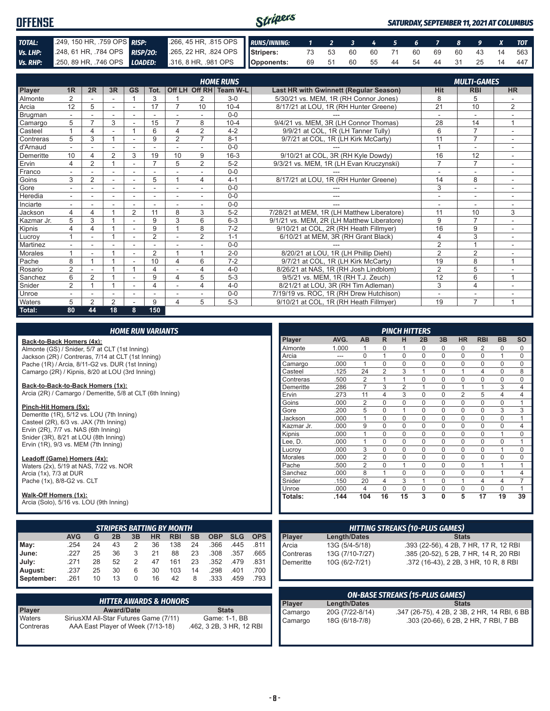| Stripers<br><b>OFFENSE</b> |                                    |  |                                                                                              |  |  |  |  |  | <b>SATURDAY, SEPTEMBER 11, 2021 AT COLUMBUS</b> |  |  |  |  |  |                                   |  |
|----------------------------|------------------------------------|--|----------------------------------------------------------------------------------------------|--|--|--|--|--|-------------------------------------------------|--|--|--|--|--|-----------------------------------|--|
| TOTAL:                     | 249, 150 HR, .759 OPS <b>RISP:</b> |  | 266, 45 HR, 315 OPS RUNS/INNING: 1 2 3 4 5 6 7 8 9 X TOT                                     |  |  |  |  |  |                                                 |  |  |  |  |  |                                   |  |
| Vs. LHP:                   |                                    |  | 248, 61 HR, 784 OPS RISP/20: 265, 22 HR, 824 OPS Stripers: 73 53 60 60 71 60 69 60 43 14 563 |  |  |  |  |  |                                                 |  |  |  |  |  |                                   |  |
| Vs. RHP:                   |                                    |  | 250, 89 HR, .746 OPS LOADED: 316, 8 HR, .981 OPS Opponents:                                  |  |  |  |  |  |                                                 |  |  |  |  |  | 69 51 60 55 44 54 44 31 25 14 447 |  |

|            |                |                          |    |                |                |                         |                          | <b>HOME RUNS</b>       |                                               |                | <b>MULTI-GAMES</b> |                          |  |
|------------|----------------|--------------------------|----|----------------|----------------|-------------------------|--------------------------|------------------------|-----------------------------------------------|----------------|--------------------|--------------------------|--|
| Player     | 1 <sub>R</sub> | 2R                       | 3R | <b>GS</b>      | Tot.           |                         |                          | Off LH Off RH Team W-L | <b>Last HR with Gwinnett (Regular Season)</b> | Hit            | <b>RBI</b>         | <b>HR</b>                |  |
| Almonte    | $\overline{2}$ |                          |    |                | 3              |                         | 2                        | $3-0$                  | 5/30/21 vs. MEM. 1R (RH Connor Jones)         | 8              | 5                  |                          |  |
| Arcia      | 12             | 5                        |    |                | 17             | 7                       | 10                       | $10 - 4$               | 8/17/21 at LOU, 1R (RH Hunter Greene)         | 21             | 10                 | 2                        |  |
| Brugman    |                |                          |    |                |                |                         |                          | $0 - 0$                |                                               |                | ٠                  |                          |  |
| Camargo    | 5              | $\overline{\phantom{a}}$ | 3  |                | 15             | $\overline{7}$          | 8                        | $10 - 4$               | 9/4/21 vs. MEM, 3R (LH Connor Thomas)         | 28             | 14                 | $\mathbf{1}$             |  |
| Casteel    |                | 4                        |    |                | 6              | $\Delta$                | $\overline{2}$           | $4 - 2$                | 9/9/21 at COL, 1R (LH Tanner Tully)           | 6              | $\overline{7}$     | ÷,                       |  |
| Contreras  | 5              | 3                        |    |                | 9              | $\overline{2}$          | $\overline{7}$           | $8 - 1$                | 9/7/21 at COL, 1R (LH Kirk McCarty)           | 11             | $\overline{7}$     |                          |  |
| d'Arnaud   |                |                          |    |                |                |                         |                          | $0 - 0$                |                                               |                | ٠                  |                          |  |
| Demeritte  | 10             | 4                        | 2  | 3              | 19             | 10                      | 9                        | $16-3$                 | 9/10/21 at COL, 3R (RH Kyle Dowdy)            | 16             | 12                 |                          |  |
| Ervin      | 4              | $\overline{2}$           |    |                | $\overline{7}$ | 5                       | $\overline{2}$           | $5 - 2$                | 9/3/21 vs. MEM, 1R (LH Evan Kruczynski)       | $\overline{7}$ | $\overline{7}$     | ۰                        |  |
| Franco     |                |                          |    |                |                |                         |                          | $0 - 0$                |                                               |                | ٠                  |                          |  |
| Goins      | 3              | $\overline{2}$           |    |                | 5              |                         | 4                        | $4 - 1$                | 8/17/21 at LOU, 1R (RH Hunter Greene)         | 14             | 8                  |                          |  |
| Gore       |                |                          |    |                |                |                         |                          | $0 - 0$                |                                               | 3              | ۰                  | $\overline{\phantom{a}}$ |  |
| Heredia    |                |                          |    |                |                |                         | $\overline{\phantom{a}}$ | $0 - 0$                | ---                                           | ٠              | ۰                  |                          |  |
| Inciarte   |                |                          |    |                |                |                         |                          | $0 - 0$                |                                               |                |                    |                          |  |
| Jackson    | 4              | 4                        |    | $\overline{2}$ | 11             | 8                       | 3                        | $5 - 2$                | 7/28/21 at MEM, 1R (LH Matthew Liberatore)    | 11             | 10                 | 3                        |  |
| Kazmar Jr. | 5              | 3                        |    |                | 9              | 3                       | 6                        | $6 - 3$                | 9/1/21 vs. MEM. 2R (LH Matthew Liberatore)    | 9              | $\overline{7}$     |                          |  |
| Kipnis     | 4              | 4                        |    |                | 9              |                         | 8                        | $7 - 2$                | 9/10/21 at COL, 2R (RH Heath Fillmyer)        | 16             | 9                  |                          |  |
| Lucroy     |                |                          |    |                | $\overline{2}$ |                         | 2                        | $1 - 1$                | 6/10/21 at MEM, 3R (RH Grant Black)           | $\overline{4}$ | 3                  |                          |  |
| Martinez   |                |                          |    |                |                |                         |                          | $0 - 0$                |                                               | $\overline{2}$ | 1                  |                          |  |
| Morales    |                |                          |    |                | $\overline{2}$ |                         | 4                        | $2 - 0$                | 8/20/21 at LOU, 1R (LH Phillip Diehl)         | $\overline{2}$ | $\overline{2}$     |                          |  |
| Pache      | 8              |                          |    |                | 10             | $\Delta$                | 6                        | $7 - 2$                | 9/7/21 at COL, 1R (LH Kirk McCarty)           | 19             | 8                  | 1                        |  |
| Rosario    | $\overline{2}$ |                          |    |                | 4              |                         | 4                        | $4 - 0$                | 8/26/21 at NAS, 1R (RH Josh Lindblom)         | $\overline{2}$ | 5                  |                          |  |
| Sanchez    | 6              | $\overline{2}$           |    |                | 9              | $\overline{\mathbf{4}}$ | 5                        | $5 - 3$                | 9/5/21 vs. MEM, 1R (RH T.J. Zeuch)            | 12             | 6                  | $\mathbf{1}$             |  |
| Snider     | 2              |                          |    |                |                |                         | 4                        | $4 - 0$                | 8/21/21 at LOU, 3R (RH Tim Adleman)           | 3              | 4                  |                          |  |
| Unroe      |                |                          |    |                |                |                         |                          | $0 - 0$                | 7/19/19 vs. ROC, 1R (RH Drew Hutchison)       | ٠              | ۰                  |                          |  |
| Waters     | 5              | $\overline{2}$           | 2  |                | 9              | $\overline{\mathbf{4}}$ | 5                        | $5 - 3$                | 9/10/21 at COL, 1R (RH Heath Fillmyer)        | 19             | $\overline{7}$     | 1                        |  |
| Total:     | 80             | 44                       | 18 | 8              | 150            |                         |                          |                        |                                               |                |                    |                          |  |

| <b>HOME RUN VARIANTS</b> |  |  |
|--------------------------|--|--|

#### **Back-to-Back Homers (4x):**

Almonte (GS) / Snider, 5/7 at CLT (1st Inning) Jackson (2R) / Contreras, 7/14 at CLT (1st Inning) Pache (1R) / Arcia, 8/11-G2 vs. DUR (1st Inning) Camargo (2R) / Kipnis, 8/20 at LOU (3rd Inning)

**Back-to-Back-to-Back Homers (1x):**

Arcia (2R) / Camargo / Demeritte, 5/8 at CLT (6th Inning)

#### **Pinch-Hit Homers (5x):**

Demeritte (1R), 5/12 vs. LOU (7th Inning) Casteel (2R), 6/3 vs. JAX (7th Inning) Ervin  $(2R)$ ,  $7/7$  vs. NAS  $(6th$  Inning) Snider (3R), 8/21 at LOU (8th Inning) Ervin (1R), 9/3 vs. MEM (7th Inning)

#### **Leadoff (Game) Homers (4x):**

Waters (2x), 5/19 at NAS, 7/22 vs. NOR Arcia (1x), 7/3 at DUR Pache (1x), 8/8-G2 vs. CLT

#### **Walk-Off Homers (1x):**

Arcia (Solo), 5/16 vs. LOU (9th Inning)

|            | <b>STRIPERS BATTING BY MONTH</b>                                                                       |    |    |   |    |     |    |      |      |      |  |  |  |  |  |
|------------|--------------------------------------------------------------------------------------------------------|----|----|---|----|-----|----|------|------|------|--|--|--|--|--|
|            | <b>AVG</b><br><b>SLG</b><br><b>SB</b><br><b>OBP</b><br><b>RBI</b><br><b>OPS</b><br>G<br>2B<br>HR<br>3B |    |    |   |    |     |    |      |      |      |  |  |  |  |  |
| May:       | .254                                                                                                   | 24 | 43 | 2 | 36 | 138 | 24 | .366 | .445 | .811 |  |  |  |  |  |
| June:      | .227                                                                                                   | 25 | 36 | 3 | 21 | 88  | 23 | .308 | .357 | .665 |  |  |  |  |  |
| July:      | .271                                                                                                   | 28 | 52 | 2 | 47 | 161 | 23 | .352 | .479 | .831 |  |  |  |  |  |
| August:    | .237                                                                                                   | 25 | 30 | 6 | 30 | 103 | 14 | .298 | .401 | .700 |  |  |  |  |  |
| September: | .261                                                                                                   | 10 | 13 | 0 | 16 | 42  | 8  | .333 | .459 | .793 |  |  |  |  |  |

|               | <b>HITTER AWARDS &amp; HONORS</b>      |                          |
|---------------|----------------------------------------|--------------------------|
| <b>Player</b> | <b>Award/Date</b>                      | <b>Stats</b>             |
| Waters        | Sirius XM All-Star Futures Game (7/11) | Game: 1-1, BB            |
| Contreras     | AAA East Player of Week (7/13-18)      | .462, 3 2B, 3 HR, 12 RBI |

| <b>PINCH HITTERS</b> |       |                |                |                |          |             |                |                |                |           |  |  |
|----------------------|-------|----------------|----------------|----------------|----------|-------------|----------------|----------------|----------------|-----------|--|--|
| Player               | AVG.  | <b>AB</b>      | R              | н              | 2B       | 3B          | <b>HR</b>      | <b>RBI</b>     | <b>BB</b>      | <b>SO</b> |  |  |
| Almonte              | 1.000 | 1              | 0              | 1              | 0        | 0           | 0              | $\overline{2}$ | 0              | 0         |  |  |
| Arcia                | ---   | $\Omega$       | 1              | $\Omega$       | $\Omega$ | $\Omega$    | $\Omega$       | $\Omega$       | 1              | $\Omega$  |  |  |
| Camargo              | .000  | 1              | $\Omega$       | $\Omega$       | $\Omega$ | $\Omega$    | $\Omega$       | $\Omega$       | $\Omega$       | $\Omega$  |  |  |
| Casteel              | .125  | 24             | $\overline{2}$ | 3              | 1        | $\Omega$    | 1              | $\overline{4}$ | $\Omega$       | 8         |  |  |
| Contreras            | .500  | $\overline{2}$ | 1              | 1              | 0        | $\mathbf 0$ | $\mathbf 0$    | $\mathbf 0$    | 0              | 0         |  |  |
| Demeritte            | 286   | 7              | 3              | $\overline{2}$ | 1        | $\Omega$    | 1              | 1              | 3              | 4         |  |  |
| Ervin                | .273  | 11             | 4              | 3              | 0        | $\mathbf 0$ | $\overline{2}$ | 5              | 4              | 4         |  |  |
| Goins                | .000  | $\overline{2}$ | $\Omega$       | $\Omega$       | $\Omega$ | $\Omega$    | $\Omega$       | $\Omega$       | $\Omega$       | 1         |  |  |
| Gore                 | .200  | 5              | $\mathbf 0$    | 1              | 0        | $\mathbf 0$ | $\mathbf 0$    | $\Omega$       | 3              | 3         |  |  |
| Jackson              | .000  | 1              | $\Omega$       | $\Omega$       | $\Omega$ | $\Omega$    | $\Omega$       | $\Omega$       | $\Omega$       | 1         |  |  |
| Kazmar Jr.           | .000  | 9              | $\Omega$       | $\Omega$       | $\Omega$ | $\Omega$    | $\Omega$       | $\Omega$       | $\Omega$       | 4         |  |  |
| Kipnis               | .000  | 1              | $\mathbf 0$    | $\mathbf 0$    | 0        | $\mathbf 0$ | $\mathbf 0$    | $\mathbf 0$    | 1              | 0         |  |  |
| Lee, D.              | .000  | 1              | $\Omega$       | $\Omega$       | 0        | $\Omega$    | 0              | $\Omega$       | $\Omega$       | 1         |  |  |
| Lucrov               | .000  | 3              | $\Omega$       | $\Omega$       | $\Omega$ | $\Omega$    | $\Omega$       | $\Omega$       | 1              | $\Omega$  |  |  |
| <b>Morales</b>       | .000  | $\overline{2}$ | $\Omega$       | $\Omega$       | 0        | $\Omega$    | $\Omega$       | $\Omega$       | $\Omega$       | $\Omega$  |  |  |
| Pache                | .500  | $\overline{2}$ | 0              | 1              | 0        | $\Omega$    | $\mathbf 0$    | 1              | 1              | 1         |  |  |
| Sanchez              | .000  | 8              | 1              | $\Omega$       | 0        | $\Omega$    | $\Omega$       | $\Omega$       | 1              | 4         |  |  |
| Snider               | .150  | 20             | 4              | 3              | 1        | $\Omega$    | 1              | $\overline{4}$ | $\overline{4}$ | 7         |  |  |
| Unroe                | .000  | 4              | $\Omega$       | $\Omega$       | $\Omega$ | $\Omega$    | $\Omega$       | $\Omega$       | $\Omega$       | 1         |  |  |
| <b>Totals:</b>       | .144  | 104            | 16             | 15             | 3        | 0           | 5              | 17             | 19             | 39        |  |  |

| <b>HITTING STREAKS (10-PLUS GAMES)</b>    |                 |                                        |
|-------------------------------------------|-----------------|----------------------------------------|
|                                           | Length/Dates    | <b>Stats</b>                           |
|                                           | 13G (5/4-5/18)  | .393 (22-56), 4 2B, 7 HR, 17 R, 12 RBI |
|                                           | 13G (7/10-7/27) | .385 (20-52), 5 2B, 7 HR, 14 R, 20 RBI |
| Player<br>Arcia<br>Contreras<br>Demeritte | 10G (6/2-7/21)  | .372 (16-43), 2 2B, 3 HR, 10 R, 8 RBI  |
|                                           |                 |                                        |

| <b>ON-BASE STREAKS (15-PLUS GAMES)</b> |                 |                                              |
|----------------------------------------|-----------------|----------------------------------------------|
| Player                                 | Length/Dates    | <b>Stats</b>                                 |
| Camargo                                | 20G (7/22-8/14) | .347 (26-75), 4 2B, 2 3B, 2 HR, 14 RBI, 6 BB |
| Camargo                                | 18G (6/18-7/8)  | .303 (20-66), 6 2B, 2 HR, 7 RBI, 7 BB        |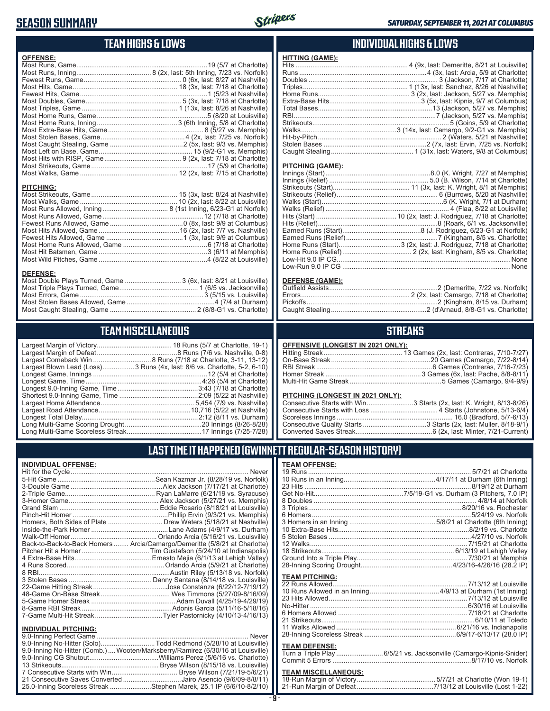### **SEASON SUMMARY**



## **TEAM HIGHS & LOWS**

| <b>OFFENSE:</b>  |  |
|------------------|--|
|                  |  |
|                  |  |
|                  |  |
|                  |  |
|                  |  |
|                  |  |
|                  |  |
|                  |  |
|                  |  |
|                  |  |
|                  |  |
|                  |  |
|                  |  |
|                  |  |
|                  |  |
|                  |  |
| <b>PITCHING:</b> |  |
|                  |  |

Most Caught Stealing, Game .............................................. 2 (8/8-G1 vs. Charlotte)

### **TEAM MISCELLANEOUS**

Most Stolen Bases Allowed, Game ...............................................4 (7/4 at Durham)

| Largest Blown Lead (Loss)3 Runs (4x, last: 8/6 vs. Charlotte, 5-2, 6-10) |
|--------------------------------------------------------------------------|
|                                                                          |
| Longest Game, Time……………………………………………………4:26 (5/4 at Charlotte)            |
|                                                                          |
|                                                                          |
|                                                                          |
|                                                                          |
|                                                                          |
|                                                                          |
|                                                                          |

### **INDIVIDUAL HIGHS & LOWS**

| <b>HITTING (GAME):</b> |  |
|------------------------|--|
|                        |  |
|                        |  |
|                        |  |
|                        |  |
|                        |  |
|                        |  |
|                        |  |
|                        |  |
|                        |  |
|                        |  |
|                        |  |
|                        |  |
|                        |  |
|                        |  |

#### **PITCHING (GAME):**

| Low-Run 9.0 IP CG ………………………………………………………………………………………None |
|---------------------------------------------------------|

#### **DEFENSE (GAME):**

### **STREAKS**

#### **OFFENSIVE (LONGEST IN 2021 ONLY):**

#### **PITCHING (LONGEST IN 2021 ONLY):**

| Consecutive Starts with Win3 Starts (2x, last: K. Wright, 8/13-8/26) |
|----------------------------------------------------------------------|
|                                                                      |
|                                                                      |
|                                                                      |
|                                                                      |

### **LAST TIME IT HAPPENED (GWINNETT REGULAR-SEASON HISTORY)**

#### **INDIVIDUAL OFFENSE:**

|                                                               | Homers, Both Sides of Plate ………………………… Drew Waters (5/18/21 at Nashville)  |
|---------------------------------------------------------------|----------------------------------------------------------------------------|
|                                                               |                                                                            |
|                                                               |                                                                            |
|                                                               | Back-to-Back-to-Back Homers  Arcia/Camargo/Demeritte (5/8/21 at Charlotte) |
|                                                               |                                                                            |
|                                                               |                                                                            |
|                                                               |                                                                            |
|                                                               |                                                                            |
|                                                               |                                                                            |
|                                                               |                                                                            |
|                                                               |                                                                            |
|                                                               |                                                                            |
|                                                               |                                                                            |
|                                                               |                                                                            |
|                                                               |                                                                            |
| <b>INDIVIDUAL PITCHING:</b><br><b>Q O-Inning Perfect Game</b> | Never                                                                      |
|                                                               |                                                                            |

| 9.0-Inning No-Hitter (Solo)Todd Redmond (5/28/10 at Louisville)                |  |
|--------------------------------------------------------------------------------|--|
| 9.0-Inning No-Hitter (Comb.) Wooten/Marksberry/Ramirez (6/30/16 at Louisville) |  |
|                                                                                |  |
|                                                                                |  |
|                                                                                |  |
| 21 Consecutive Saves Converted Jairo Asencio (9/6/09-8/8/11)                   |  |
| 25.0-Inning Scoreless Streak Stephen Marek, 25.1 IP (6/6/10-8/2/10)            |  |
|                                                                                |  |

| <b>TEAM OFFENSE:</b>  |  |
|-----------------------|--|
|                       |  |
|                       |  |
|                       |  |
|                       |  |
|                       |  |
|                       |  |
|                       |  |
|                       |  |
|                       |  |
|                       |  |
|                       |  |
|                       |  |
|                       |  |
|                       |  |
| <b>TEAM PITCHING:</b> |  |
|                       |  |
|                       |  |
|                       |  |
|                       |  |
|                       |  |
|                       |  |
|                       |  |
|                       |  |
| <b>TEAM DEFENSE:</b>  |  |
|                       |  |

#### Turn a Triple Play .........................6/5/21 vs. Jacksonville (Camargo-Kipnis-Snider) Commit 5 Errors ..........................................................................8/17/10 vs. Norfolk

## **TEAM MISCELLANEOUS:**<br>18-Run Margin of Victory....